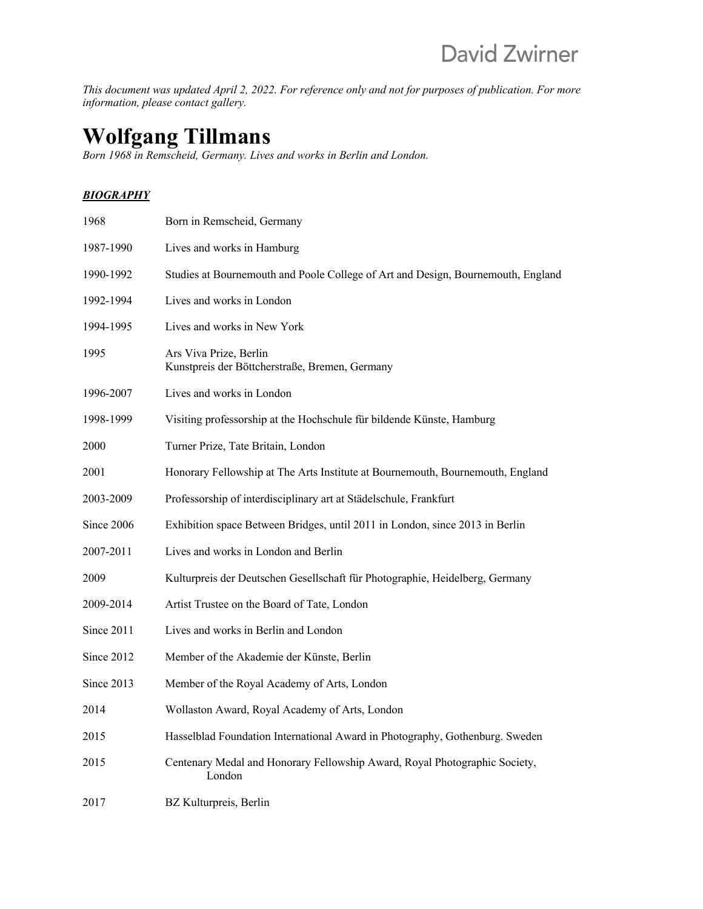*This document was updated April 2, 2022. For reference only and not for purposes of publication. For more information, please contact gallery.*

# **Wolfgang Tillmans**

*Born 1968 in Remscheid, Germany. Lives and works in Berlin and London.*

## *BIOGRAPHY*

| 1968       | Born in Remscheid, Germany                                                           |
|------------|--------------------------------------------------------------------------------------|
| 1987-1990  | Lives and works in Hamburg                                                           |
| 1990-1992  | Studies at Bournemouth and Poole College of Art and Design, Bournemouth, England     |
| 1992-1994  | Lives and works in London                                                            |
| 1994-1995  | Lives and works in New York                                                          |
| 1995       | Ars Viva Prize, Berlin<br>Kunstpreis der Böttcherstraße, Bremen, Germany             |
| 1996-2007  | Lives and works in London                                                            |
| 1998-1999  | Visiting professorship at the Hochschule für bildende Künste, Hamburg                |
| 2000       | Turner Prize, Tate Britain, London                                                   |
| 2001       | Honorary Fellowship at The Arts Institute at Bournemouth, Bournemouth, England       |
| 2003-2009  | Professorship of interdisciplinary art at Städelschule, Frankfurt                    |
| Since 2006 | Exhibition space Between Bridges, until 2011 in London, since 2013 in Berlin         |
| 2007-2011  | Lives and works in London and Berlin                                                 |
| 2009       | Kulturpreis der Deutschen Gesellschaft für Photographie, Heidelberg, Germany         |
| 2009-2014  | Artist Trustee on the Board of Tate, London                                          |
| Since 2011 | Lives and works in Berlin and London                                                 |
| Since 2012 | Member of the Akademie der Künste, Berlin                                            |
| Since 2013 | Member of the Royal Academy of Arts, London                                          |
| 2014       | Wollaston Award, Royal Academy of Arts, London                                       |
| 2015       | Hasselblad Foundation International Award in Photography, Gothenburg. Sweden         |
| 2015       | Centenary Medal and Honorary Fellowship Award, Royal Photographic Society,<br>London |
| 2017       | BZ Kulturpreis, Berlin                                                               |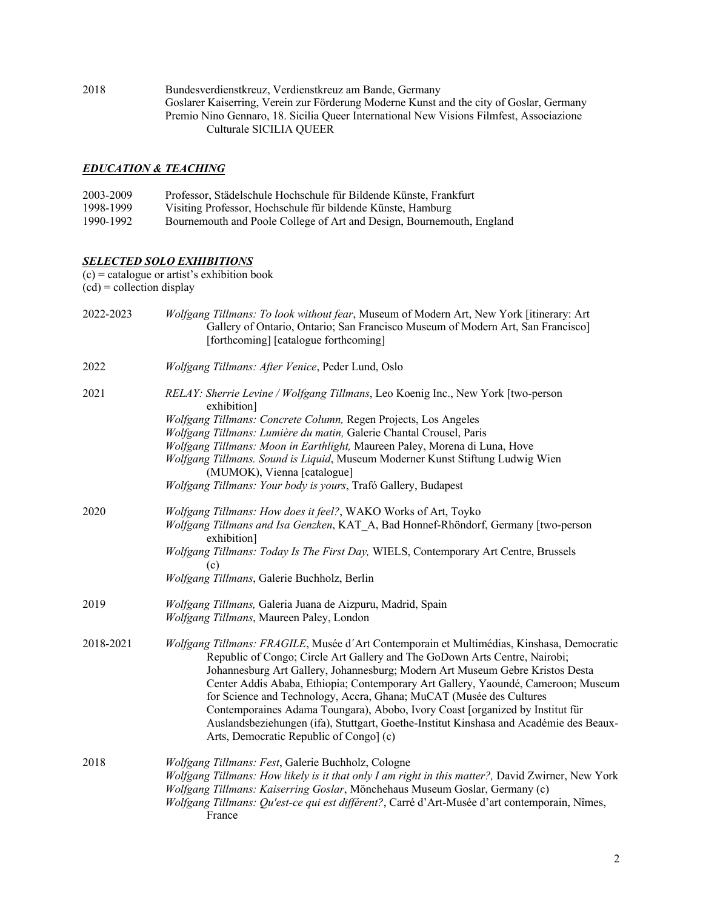2018 Bundesverdienstkreuz, Verdienstkreuz am Bande, Germany Goslarer Kaiserring, Verein zur Förderung Moderne Kunst and the city of Goslar, Germany Premio Nino Gennaro, 18. Sicilia Queer International New Visions Filmfest, Associazione Culturale SICILIA QUEER

#### *EDUCATION & TEACHING*

| 2003-2009 | Professor, Städelschule Hochschule für Bildende Künste, Frankfurt     |
|-----------|-----------------------------------------------------------------------|
| 1998-1999 | Visiting Professor, Hochschule für bildende Künste, Hamburg           |
| 1990-1992 | Bournemouth and Poole College of Art and Design, Bournemouth, England |

#### *SELECTED SOLO EXHIBITIONS*

 $(c)$  = catalogue or artist's exhibition book  $(cd)$  = collection display 2022-2023 *Wolfgang Tillmans: To look without fear*, Museum of Modern Art, New York [itinerary: Art Gallery of Ontario, Ontario; San Francisco Museum of Modern Art, San Francisco] [forthcoming] [catalogue forthcoming] 2022 *Wolfgang Tillmans: After Venice*, Peder Lund, Oslo

2021 *RELAY: Sherrie Levine / Wolfgang Tillmans*, Leo Koenig Inc., New York [two-person exhibition] *Wolfgang Tillmans: Concrete Column,* Regen Projects, Los Angeles *Wolfgang Tillmans: Lumière du matin,* Galerie Chantal Crousel, Paris *Wolfgang Tillmans: Moon in Earthlight,* Maureen Paley, Morena di Luna, Hove *Wolfgang Tillmans. Sound is Liquid*, Museum Moderner Kunst Stiftung Ludwig Wien (MUMOK), Vienna [catalogue] *Wolfgang Tillmans: Your body is yours*, Trafó Gallery, Budapest 2020 *Wolfgang Tillmans: How does it feel?*, WAKO Works of Art, Toyko *Wolfgang Tillmans and Isa Genzken*, KAT\_A, Bad Honnef-Rhöndorf, Germany [two-person exhibition] *Wolfgang Tillmans: Today Is The First Day,* WIELS, Contemporary Art Centre, Brussels (c) *Wolfgang Tillmans*, Galerie Buchholz, Berlin 2019 *Wolfgang Tillmans,* Galeria Juana de Aizpuru, Madrid, Spain *Wolfgang Tillmans*, Maureen Paley, London 2018-2021 *Wolfgang Tillmans: FRAGILE*, Musée d´Art Contemporain et Multimédias, Kinshasa, Democratic Republic of Congo; Circle Art Gallery and The GoDown Arts Centre, Nairobi; Johannesburg Art Gallery, Johannesburg; Modern Art Museum Gebre Kristos Desta Center Addis Ababa, Ethiopia; Contemporary Art Gallery, Yaoundé, Cameroon; Museum for Science and Technology, Accra, Ghana; MuCAT (Musée des Cultures Contemporaines Adama Toungara), Abobo, Ivory Coast [organized by Institut für Auslandsbeziehungen (ifa), Stuttgart, Goethe-Institut Kinshasa and Académie des Beaux-Arts, Democratic Republic of Congo] (c) 2018 *Wolfgang Tillmans: Fest*, Galerie Buchholz, Cologne

# *Wolfgang Tillmans: How likely is it that only I am right in this matter?,* David Zwirner, New York *Wolfgang Tillmans: Kaiserring Goslar*, Mönchehaus Museum Goslar, Germany (c) *Wolfgang Tillmans: Qu'est-ce qui est différent?*, Carré d'Art-Musée d'art contemporain, Nîmes, France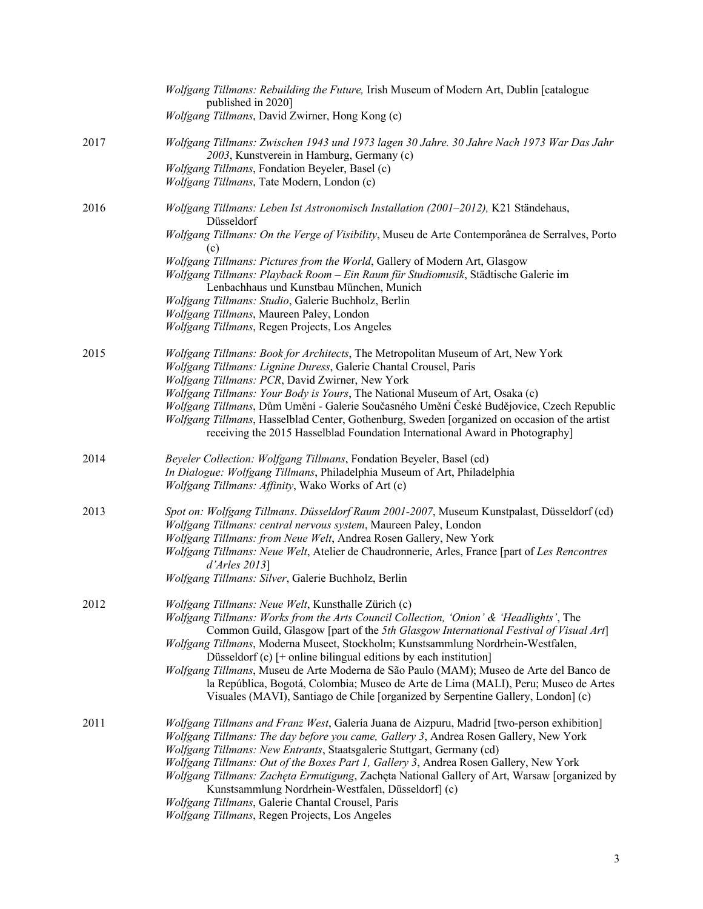|      | Wolfgang Tillmans: Rebuilding the Future, Irish Museum of Modern Art, Dublin [catalogue<br>published in 2020]<br>Wolfgang Tillmans, David Zwirner, Hong Kong (c)                                                                                                                                                                                                                                                                                                                                                                                                                                                                                                     |
|------|----------------------------------------------------------------------------------------------------------------------------------------------------------------------------------------------------------------------------------------------------------------------------------------------------------------------------------------------------------------------------------------------------------------------------------------------------------------------------------------------------------------------------------------------------------------------------------------------------------------------------------------------------------------------|
| 2017 | Wolfgang Tillmans: Zwischen 1943 und 1973 lagen 30 Jahre. 30 Jahre Nach 1973 War Das Jahr<br>2003, Kunstverein in Hamburg, Germany (c)<br>Wolfgang Tillmans, Fondation Beyeler, Basel (c)<br>Wolfgang Tillmans, Tate Modern, London (c)                                                                                                                                                                                                                                                                                                                                                                                                                              |
| 2016 | Wolfgang Tillmans: Leben Ist Astronomisch Installation (2001–2012), K21 Ständehaus,<br>Düsseldorf<br>Wolfgang Tillmans: On the Verge of Visibility, Museu de Arte Contemporânea de Serralves, Porto<br>(c)<br>Wolfgang Tillmans: Pictures from the World, Gallery of Modern Art, Glasgow<br>Wolfgang Tillmans: Playback Room - Ein Raum für Studiomusik, Städtische Galerie im<br>Lenbachhaus und Kunstbau München, Munich<br>Wolfgang Tillmans: Studio, Galerie Buchholz, Berlin<br>Wolfgang Tillmans, Maureen Paley, London<br>Wolfgang Tillmans, Regen Projects, Los Angeles                                                                                      |
| 2015 | Wolfgang Tillmans: Book for Architects, The Metropolitan Museum of Art, New York<br>Wolfgang Tillmans: Lignine Duress, Galerie Chantal Crousel, Paris<br>Wolfgang Tillmans: PCR, David Zwirner, New York<br>Wolfgang Tillmans: Your Body is Yours, The National Museum of Art, Osaka (c)<br>Wolfgang Tillmans, Dům Umění - Galerie Současného Umění České Budějovice, Czech Republic<br>Wolfgang Tillmans, Hasselblad Center, Gothenburg, Sweden [organized on occasion of the artist<br>receiving the 2015 Hasselblad Foundation International Award in Photography]                                                                                                |
| 2014 | Beyeler Collection: Wolfgang Tillmans, Fondation Beyeler, Basel (cd)<br>In Dialogue: Wolfgang Tillmans, Philadelphia Museum of Art, Philadelphia<br>Wolfgang Tillmans: Affinity, Wako Works of Art (c)                                                                                                                                                                                                                                                                                                                                                                                                                                                               |
| 2013 | Spot on: Wolfgang Tillmans. Düsseldorf Raum 2001-2007, Museum Kunstpalast, Düsseldorf (cd)<br>Wolfgang Tillmans: central nervous system, Maureen Paley, London<br>Wolfgang Tillmans: from Neue Welt, Andrea Rosen Gallery, New York<br>Wolfgang Tillmans: Neue Welt, Atelier de Chaudronnerie, Arles, France [part of Les Rencontres<br>$d'A$ rles 2013]<br>Wolfgang Tillmans: Silver, Galerie Buchholz, Berlin                                                                                                                                                                                                                                                      |
| 2012 | Wolfgang Tillmans: Neue Welt, Kunsthalle Zürich (c)<br>Wolfgang Tillmans: Works from the Arts Council Collection, 'Onion' & 'Headlights', The<br>Common Guild, Glasgow [part of the 5th Glasgow International Festival of Visual Art]<br>Wolfgang Tillmans, Moderna Museet, Stockholm; Kunstsammlung Nordrhein-Westfalen,<br>Düsseldorf $(c)$ [+ online bilingual editions by each institution]<br>Wolfgang Tillmans, Museu de Arte Moderna de São Paulo (MAM); Museo de Arte del Banco de<br>la República, Bogotá, Colombia; Museo de Arte de Lima (MALI), Peru; Museo de Artes<br>Visuales (MAVI), Santiago de Chile [organized by Serpentine Gallery, London] (c) |
| 2011 | Wolfgang Tillmans and Franz West, Galería Juana de Aizpuru, Madrid [two-person exhibition]<br>Wolfgang Tillmans: The day before you came, Gallery 3, Andrea Rosen Gallery, New York<br>Wolfgang Tillmans: New Entrants, Staatsgalerie Stuttgart, Germany (cd)<br>Wolfgang Tillmans: Out of the Boxes Part 1, Gallery 3, Andrea Rosen Gallery, New York<br>Wolfgang Tillmans: Zachęta Ermutigung, Zachęta National Gallery of Art, Warsaw [organized by<br>Kunstsammlung Nordrhein-Westfalen, Düsseldorf] (c)<br>Wolfgang Tillmans, Galerie Chantal Crousel, Paris<br>Wolfgang Tillmans, Regen Projects, Los Angeles                                                  |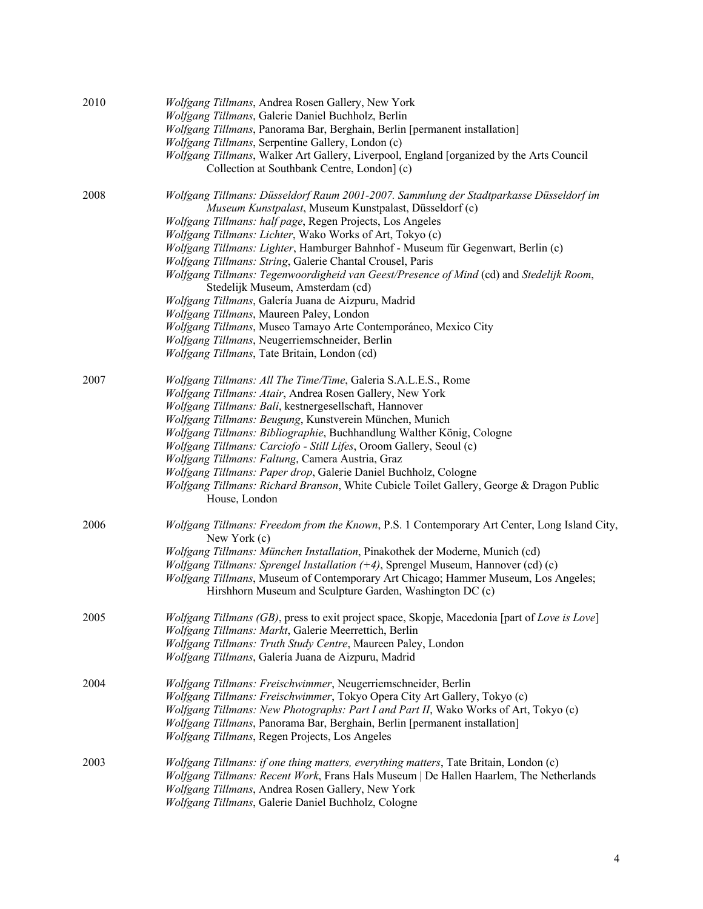| 2010 | Wolfgang Tillmans, Andrea Rosen Gallery, New York<br>Wolfgang Tillmans, Galerie Daniel Buchholz, Berlin                                          |
|------|--------------------------------------------------------------------------------------------------------------------------------------------------|
|      | Wolfgang Tillmans, Panorama Bar, Berghain, Berlin [permanent installation]                                                                       |
|      | Wolfgang Tillmans, Serpentine Gallery, London (c)                                                                                                |
|      | Wolfgang Tillmans, Walker Art Gallery, Liverpool, England [organized by the Arts Council                                                         |
|      | Collection at Southbank Centre, London] (c)                                                                                                      |
| 2008 | Wolfgang Tillmans: Düsseldorf Raum 2001-2007. Sammlung der Stadtparkasse Düsseldorf im<br>Museum Kunstpalast, Museum Kunstpalast, Düsseldorf (c) |
|      | Wolfgang Tillmans: half page, Regen Projects, Los Angeles                                                                                        |
|      | Wolfgang Tillmans: Lichter, Wako Works of Art, Tokyo (c)                                                                                         |
|      | Wolfgang Tillmans: Lighter, Hamburger Bahnhof - Museum für Gegenwart, Berlin (c)                                                                 |
|      | Wolfgang Tillmans: String, Galerie Chantal Crousel, Paris                                                                                        |
|      | Wolfgang Tillmans: Tegenwoordigheid van Geest/Presence of Mind (cd) and Stedelijk Room,                                                          |
|      | Stedelijk Museum, Amsterdam (cd)                                                                                                                 |
|      | Wolfgang Tillmans, Galería Juana de Aizpuru, Madrid                                                                                              |
|      | Wolfgang Tillmans, Maureen Paley, London                                                                                                         |
|      | Wolfgang Tillmans, Museo Tamayo Arte Contemporáneo, Mexico City                                                                                  |
|      | Wolfgang Tillmans, Neugerriemschneider, Berlin                                                                                                   |
|      | Wolfgang Tillmans, Tate Britain, London (cd)                                                                                                     |
| 2007 | Wolfgang Tillmans: All The Time/Time, Galeria S.A.L.E.S., Rome                                                                                   |
|      | Wolfgang Tillmans: Atair, Andrea Rosen Gallery, New York                                                                                         |
|      | Wolfgang Tillmans: Bali, kestnergesellschaft, Hannover                                                                                           |
|      | Wolfgang Tillmans: Beugung, Kunstverein München, Munich                                                                                          |
|      | Wolfgang Tillmans: Bibliographie, Buchhandlung Walther König, Cologne                                                                            |
|      | Wolfgang Tillmans: Carciofo - Still Lifes, Oroom Gallery, Seoul (c)                                                                              |
|      | Wolfgang Tillmans: Faltung, Camera Austria, Graz                                                                                                 |
|      | Wolfgang Tillmans: Paper drop, Galerie Daniel Buchholz, Cologne                                                                                  |
|      | Wolfgang Tillmans: Richard Branson, White Cubicle Toilet Gallery, George & Dragon Public                                                         |
|      | House, London                                                                                                                                    |
| 2006 | Wolfgang Tillmans: Freedom from the Known, P.S. 1 Contemporary Art Center, Long Island City,<br>New York (c)                                     |
|      | Wolfgang Tillmans: München Installation, Pinakothek der Moderne, Munich (cd)                                                                     |
|      | Wolfgang Tillmans: Sprengel Installation $(+4)$ , Sprengel Museum, Hannover (cd) (c)                                                             |
|      | Wolfgang Tillmans, Museum of Contemporary Art Chicago; Hammer Museum, Los Angeles;                                                               |
|      | Hirshhorn Museum and Sculpture Garden, Washington DC (c)                                                                                         |
| 2005 | Wolfgang Tillmans (GB), press to exit project space, Skopje, Macedonia [part of Love is Love]                                                    |
|      | Wolfgang Tillmans: Markt, Galerie Meerrettich, Berlin                                                                                            |
|      | Wolfgang Tillmans: Truth Study Centre, Maureen Paley, London                                                                                     |
|      | Wolfgang Tillmans, Galería Juana de Aizpuru, Madrid                                                                                              |
| 2004 | Wolfgang Tillmans: Freischwimmer, Neugerriemschneider, Berlin                                                                                    |
|      | Wolfgang Tillmans: Freischwimmer, Tokyo Opera City Art Gallery, Tokyo (c)                                                                        |
|      | Wolfgang Tillmans: New Photographs: Part I and Part II, Wako Works of Art, Tokyo (c)                                                             |
|      | Wolfgang Tillmans, Panorama Bar, Berghain, Berlin [permanent installation]                                                                       |
|      | Wolfgang Tillmans, Regen Projects, Los Angeles                                                                                                   |
| 2003 | <i>Wolfgang Tillmans: if one thing matters, everything matters, Tate Britain, London (c)</i>                                                     |
|      | Wolfgang Tillmans: Recent Work, Frans Hals Museum   De Hallen Haarlem, The Netherlands                                                           |
|      | Wolfgang Tillmans, Andrea Rosen Gallery, New York                                                                                                |
|      | Wolfgang Tillmans, Galerie Daniel Buchholz, Cologne                                                                                              |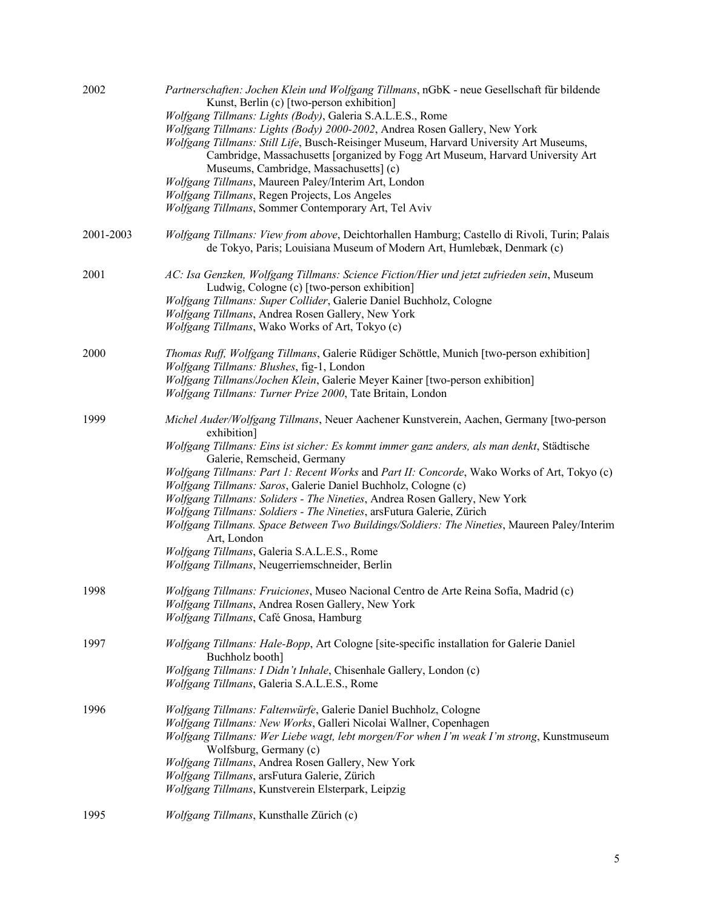| 2002      | Partnerschaften: Jochen Klein und Wolfgang Tillmans, nGbK - neue Gesellschaft für bildende<br>Kunst, Berlin (c) [two-person exhibition]<br>Wolfgang Tillmans: Lights (Body), Galeria S.A.L.E.S., Rome<br>Wolfgang Tillmans: Lights (Body) 2000-2002, Andrea Rosen Gallery, New York<br>Wolfgang Tillmans: Still Life, Busch-Reisinger Museum, Harvard University Art Museums,<br>Cambridge, Massachusetts [organized by Fogg Art Museum, Harvard University Art<br>Museums, Cambridge, Massachusetts] (c)<br>Wolfgang Tillmans, Maureen Paley/Interim Art, London<br>Wolfgang Tillmans, Regen Projects, Los Angeles<br>Wolfgang Tillmans, Sommer Contemporary Art, Tel Aviv                                                                                                |
|-----------|----------------------------------------------------------------------------------------------------------------------------------------------------------------------------------------------------------------------------------------------------------------------------------------------------------------------------------------------------------------------------------------------------------------------------------------------------------------------------------------------------------------------------------------------------------------------------------------------------------------------------------------------------------------------------------------------------------------------------------------------------------------------------|
| 2001-2003 | Wolfgang Tillmans: View from above, Deichtorhallen Hamburg; Castello di Rivoli, Turin; Palais<br>de Tokyo, Paris; Louisiana Museum of Modern Art, Humlebæk, Denmark (c)                                                                                                                                                                                                                                                                                                                                                                                                                                                                                                                                                                                                    |
| 2001      | AC: Isa Genzken, Wolfgang Tillmans: Science Fiction/Hier und jetzt zufrieden sein, Museum<br>Ludwig, Cologne (c) [two-person exhibition]<br>Wolfgang Tillmans: Super Collider, Galerie Daniel Buchholz, Cologne<br>Wolfgang Tillmans, Andrea Rosen Gallery, New York<br>Wolfgang Tillmans, Wako Works of Art, Tokyo (c)                                                                                                                                                                                                                                                                                                                                                                                                                                                    |
| 2000      | Thomas Ruff, Wolfgang Tillmans, Galerie Rüdiger Schöttle, Munich [two-person exhibition]<br>Wolfgang Tillmans: Blushes, fig-1, London<br>Wolfgang Tillmans/Jochen Klein, Galerie Meyer Kainer [two-person exhibition]<br>Wolfgang Tillmans: Turner Prize 2000, Tate Britain, London                                                                                                                                                                                                                                                                                                                                                                                                                                                                                        |
| 1999      | Michel Auder/Wolfgang Tillmans, Neuer Aachener Kunstverein, Aachen, Germany [two-person<br>exhibition]<br>Wolfgang Tillmans: Eins ist sicher: Es kommt immer ganz anders, als man denkt, Städtische<br>Galerie, Remscheid, Germany<br>Wolfgang Tillmans: Part 1: Recent Works and Part II: Concorde, Wako Works of Art, Tokyo (c)<br>Wolfgang Tillmans: Saros, Galerie Daniel Buchholz, Cologne (c)<br>Wolfgang Tillmans: Soliders - The Nineties, Andrea Rosen Gallery, New York<br>Wolfgang Tillmans: Soldiers - The Nineties, arsFutura Galerie, Zürich<br>Wolfgang Tillmans. Space Between Two Buildings/Soldiers: The Nineties, Maureen Paley/Interim<br>Art, London<br>Wolfgang Tillmans, Galeria S.A.L.E.S., Rome<br>Wolfgang Tillmans, Neugerriemschneider, Berlin |
| 1998      | Wolfgang Tillmans: Fruiciones, Museo Nacional Centro de Arte Reina Sofía, Madrid (c)<br>Wolfgang Tillmans, Andrea Rosen Gallery, New York<br>Wolfgang Tillmans, Café Gnosa, Hamburg                                                                                                                                                                                                                                                                                                                                                                                                                                                                                                                                                                                        |
| 1997      | Wolfgang Tillmans: Hale-Bopp, Art Cologne [site-specific installation for Galerie Daniel<br>Buchholz booth]<br>Wolfgang Tillmans: I Didn't Inhale, Chisenhale Gallery, London (c)<br>Wolfgang Tillmans, Galeria S.A.L.E.S., Rome                                                                                                                                                                                                                                                                                                                                                                                                                                                                                                                                           |
| 1996      | Wolfgang Tillmans: Faltenwürfe, Galerie Daniel Buchholz, Cologne<br>Wolfgang Tillmans: New Works, Galleri Nicolai Wallner, Copenhagen<br>Wolfgang Tillmans: Wer Liebe wagt, lebt morgen/For when I'm weak I'm strong, Kunstmuseum<br>Wolfsburg, Germany (c)<br>Wolfgang Tillmans, Andrea Rosen Gallery, New York<br>Wolfgang Tillmans, arsFutura Galerie, Zürich<br>Wolfgang Tillmans, Kunstverein Elsterpark, Leipzig                                                                                                                                                                                                                                                                                                                                                     |
| 1995      | Wolfgang Tillmans, Kunsthalle Zürich (c)                                                                                                                                                                                                                                                                                                                                                                                                                                                                                                                                                                                                                                                                                                                                   |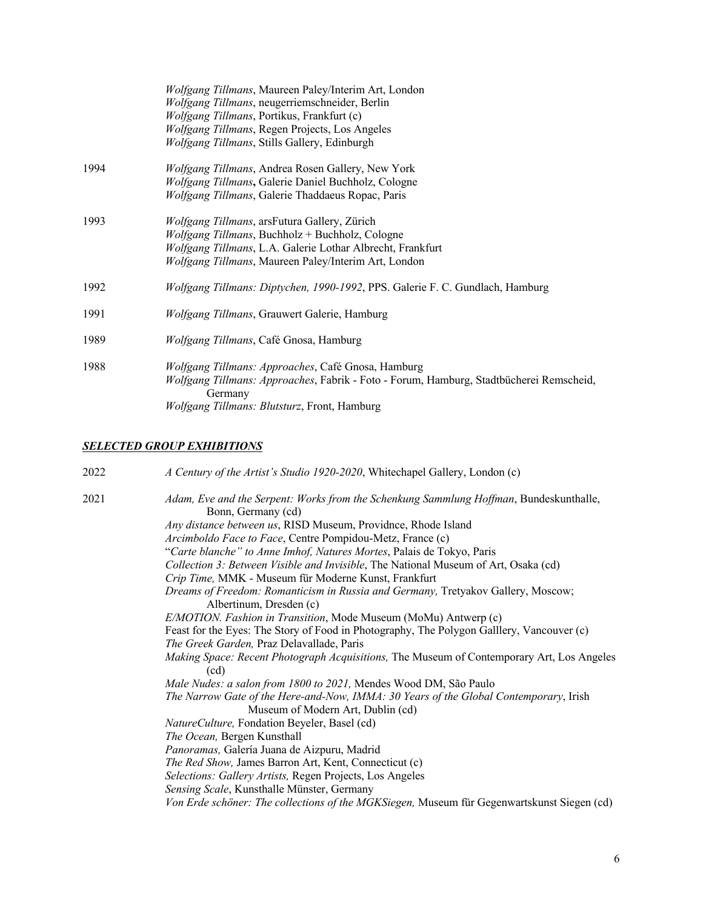|      | Wolfgang Tillmans, Maureen Paley/Interim Art, London<br>Wolfgang Tillmans, neugerriemschneider, Berlin<br>Wolfgang Tillmans, Portikus, Frankfurt (c)<br>Wolfgang Tillmans, Regen Projects, Los Angeles<br>Wolfgang Tillmans, Stills Gallery, Edinburgh |
|------|--------------------------------------------------------------------------------------------------------------------------------------------------------------------------------------------------------------------------------------------------------|
| 1994 | Wolfgang Tillmans, Andrea Rosen Gallery, New York<br>Wolfgang Tillmans, Galerie Daniel Buchholz, Cologne<br>Wolfgang Tillmans, Galerie Thaddaeus Ropac, Paris                                                                                          |
| 1993 | Wolfgang Tillmans, arsFutura Gallery, Zürich<br>Wolfgang Tillmans, Buchholz + Buchholz, Cologne<br>Wolfgang Tillmans, L.A. Galerie Lothar Albrecht, Frankfurt<br>Wolfgang Tillmans, Maureen Paley/Interim Art, London                                  |
| 1992 | Wolfgang Tillmans: Diptychen, 1990-1992, PPS. Galerie F. C. Gundlach, Hamburg                                                                                                                                                                          |
| 1991 | Wolfgang Tillmans, Grauwert Galerie, Hamburg                                                                                                                                                                                                           |
| 1989 | Wolfgang Tillmans, Café Gnosa, Hamburg                                                                                                                                                                                                                 |
| 1988 | Wolfgang Tillmans: Approaches, Café Gnosa, Hamburg<br>Wolfgang Tillmans: Approaches, Fabrik - Foto - Forum, Hamburg, Stadtbücherei Remscheid,<br>Germany<br>Wolfgang Tillmans: Blutsturz, Front, Hamburg                                               |

#### *SELECTED GROUP EXHIBITIONS*

| 2022 | A Century of the Artist's Studio 1920-2020, Whitechapel Gallery, London (c)                                                |
|------|----------------------------------------------------------------------------------------------------------------------------|
| 2021 | Adam, Eve and the Serpent: Works from the Schenkung Sammlung Hoffman, Bundeskunthalle,<br>Bonn, Germany (cd)               |
|      | Any distance between us, RISD Museum, Providnce, Rhode Island                                                              |
|      | Arcimboldo Face to Face, Centre Pompidou-Metz, France (c)                                                                  |
|      | "Carte blanche" to Anne Imhof, Natures Mortes, Palais de Tokyo, Paris                                                      |
|      | Collection 3: Between Visible and Invisible, The National Museum of Art, Osaka (cd)                                        |
|      | Crip Time, MMK - Museum für Moderne Kunst, Frankfurt                                                                       |
|      | Dreams of Freedom: Romanticism in Russia and Germany, Tretyakov Gallery, Moscow;                                           |
|      | Albertinum, Dresden (c)                                                                                                    |
|      | E/MOTION. Fashion in Transition, Mode Museum (MoMu) Antwerp (c)                                                            |
|      | Feast for the Eyes: The Story of Food in Photography, The Polygon Galllery, Vancouver (c)                                  |
|      | The Greek Garden, Praz Delavallade, Paris                                                                                  |
|      | Making Space: Recent Photograph Acquisitions, The Museum of Contemporary Art, Los Angeles<br>(cd)                          |
|      | Male Nudes: a salon from 1800 to 2021, Mendes Wood DM, São Paulo                                                           |
|      | The Narrow Gate of the Here-and-Now, IMMA: 30 Years of the Global Contemporary, Irish<br>Museum of Modern Art, Dublin (cd) |
|      | NatureCulture, Fondation Beyeler, Basel (cd)                                                                               |
|      | The Ocean, Bergen Kunsthall                                                                                                |
|      | Panoramas, Galería Juana de Aizpuru, Madrid                                                                                |
|      | The Red Show, James Barron Art, Kent, Connecticut (c)                                                                      |
|      | Selections: Gallery Artists, Regen Projects, Los Angeles                                                                   |
|      | Sensing Scale, Kunsthalle Münster, Germany                                                                                 |
|      | Von Erde schöner: The collections of the MGKSiegen, Museum für Gegenwartskunst Siegen (cd)                                 |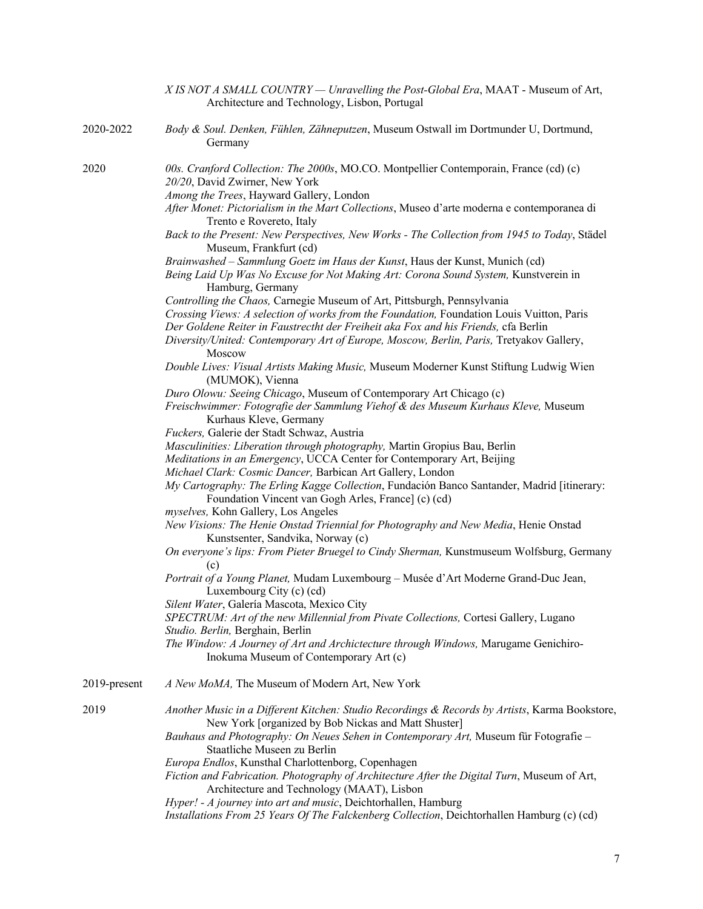|              | X IS NOT A SMALL COUNTRY — Unravelling the Post-Global Era, MAAT - Museum of Art,<br>Architecture and Technology, Lisbon, Portugal                                                                                                                                                                                                                                                                                                                                                                                                                                                                                                                                                                                                                                                                                                                                                                                                                                                                                                                                                                                                                                                                                                                                                                                                                                                                                                                                                                                                                                                                                                                                                                           |
|--------------|--------------------------------------------------------------------------------------------------------------------------------------------------------------------------------------------------------------------------------------------------------------------------------------------------------------------------------------------------------------------------------------------------------------------------------------------------------------------------------------------------------------------------------------------------------------------------------------------------------------------------------------------------------------------------------------------------------------------------------------------------------------------------------------------------------------------------------------------------------------------------------------------------------------------------------------------------------------------------------------------------------------------------------------------------------------------------------------------------------------------------------------------------------------------------------------------------------------------------------------------------------------------------------------------------------------------------------------------------------------------------------------------------------------------------------------------------------------------------------------------------------------------------------------------------------------------------------------------------------------------------------------------------------------------------------------------------------------|
| 2020-2022    | Body & Soul. Denken, Fühlen, Zähneputzen, Museum Ostwall im Dortmunder U, Dortmund,<br>Germany                                                                                                                                                                                                                                                                                                                                                                                                                                                                                                                                                                                                                                                                                                                                                                                                                                                                                                                                                                                                                                                                                                                                                                                                                                                                                                                                                                                                                                                                                                                                                                                                               |
| 2020         | 00s. Cranford Collection: The 2000s, MO.CO. Montpellier Contemporain, France (cd) (c)<br>20/20, David Zwirner, New York<br>Among the Trees, Hayward Gallery, London<br>After Monet: Pictorialism in the Mart Collections, Museo d'arte moderna e contemporanea di<br>Trento e Rovereto, Italy<br>Back to the Present: New Perspectives, New Works - The Collection from 1945 to Today, Städel<br>Museum, Frankfurt (cd)<br>Brainwashed - Sammlung Goetz im Haus der Kunst, Haus der Kunst, Munich (cd)<br>Being Laid Up Was No Excuse for Not Making Art: Corona Sound System, Kunstverein in<br>Hamburg, Germany<br>Controlling the Chaos, Carnegie Museum of Art, Pittsburgh, Pennsylvania<br>Crossing Views: A selection of works from the Foundation, Foundation Louis Vuitton, Paris<br>Der Goldene Reiter in Faustrectht der Freiheit aka Fox and his Friends, cfa Berlin<br>Diversity/United: Contemporary Art of Europe, Moscow, Berlin, Paris, Tretyakov Gallery,<br>Moscow<br>Double Lives: Visual Artists Making Music, Museum Moderner Kunst Stiftung Ludwig Wien<br>(MUMOK), Vienna<br>Duro Olowu: Seeing Chicago, Museum of Contemporary Art Chicago (c)<br>Freischwimmer: Fotografie der Sammlung Viehof & des Museum Kurhaus Kleve, Museum<br>Kurhaus Kleve, Germany<br>Fuckers, Galerie der Stadt Schwaz, Austria<br>Masculinities: Liberation through photography, Martin Gropius Bau, Berlin<br>Meditations in an Emergency, UCCA Center for Contemporary Art, Beijing<br>Michael Clark: Cosmic Dancer, Barbican Art Gallery, London<br>My Cartography: The Erling Kagge Collection, Fundación Banco Santander, Madrid [itinerary:<br>Foundation Vincent van Gogh Arles, France] (c) (cd) |
|              | myselves, Kohn Gallery, Los Angeles<br>New Visions: The Henie Onstad Triennial for Photography and New Media, Henie Onstad<br>Kunstsenter, Sandvika, Norway (c)<br>On everyone's lips: From Pieter Bruegel to Cindy Sherman, Kunstmuseum Wolfsburg, Germany<br>(c)<br>Portrait of a Young Planet, Mudam Luxembourg - Musée d'Art Moderne Grand-Duc Jean,<br>Luxembourg City (c) (cd)<br>Silent Water, Galería Mascota, Mexico City<br>SPECTRUM: Art of the new Millennial from Pivate Collections, Cortesi Gallery, Lugano<br>Studio. Berlin, Berghain, Berlin<br>The Window: A Journey of Art and Archictecture through Windows, Marugame Genichiro-<br>Inokuma Museum of Contemporary Art (c)                                                                                                                                                                                                                                                                                                                                                                                                                                                                                                                                                                                                                                                                                                                                                                                                                                                                                                                                                                                                              |
| 2019-present | A New MoMA, The Museum of Modern Art, New York                                                                                                                                                                                                                                                                                                                                                                                                                                                                                                                                                                                                                                                                                                                                                                                                                                                                                                                                                                                                                                                                                                                                                                                                                                                                                                                                                                                                                                                                                                                                                                                                                                                               |
| 2019         | Another Music in a Different Kitchen: Studio Recordings & Records by Artists, Karma Bookstore,<br>New York [organized by Bob Nickas and Matt Shuster]<br>Bauhaus and Photography: On Neues Sehen in Contemporary Art, Museum für Fotografie -<br>Staatliche Museen zu Berlin<br>Europa Endlos, Kunsthal Charlottenborg, Copenhagen<br>Fiction and Fabrication. Photography of Architecture After the Digital Turn, Museum of Art,<br>Architecture and Technology (MAAT), Lisbon<br>Hyper! - A journey into art and music, Deichtorhallen, Hamburg<br>Installations From 25 Years Of The Falckenberg Collection, Deichtorhallen Hamburg (c) (cd)                                                                                                                                                                                                                                                                                                                                                                                                                                                                                                                                                                                                                                                                                                                                                                                                                                                                                                                                                                                                                                                              |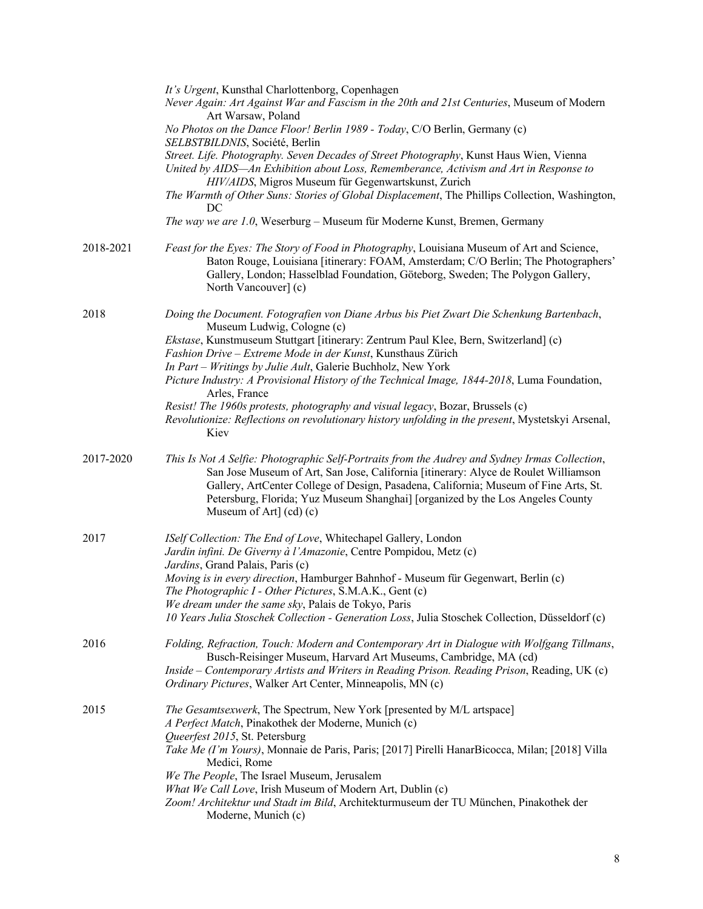|           | It's Urgent, Kunsthal Charlottenborg, Copenhagen<br>Never Again: Art Against War and Fascism in the 20th and 21st Centuries, Museum of Modern<br>Art Warsaw, Poland                                                                                                                                                                                                                        |
|-----------|--------------------------------------------------------------------------------------------------------------------------------------------------------------------------------------------------------------------------------------------------------------------------------------------------------------------------------------------------------------------------------------------|
|           | No Photos on the Dance Floor! Berlin 1989 - Today, C/O Berlin, Germany (c)<br>SELBSTBILDNIS, Société, Berlin                                                                                                                                                                                                                                                                               |
|           | Street. Life. Photography. Seven Decades of Street Photography, Kunst Haus Wien, Vienna<br>United by AIDS—An Exhibition about Loss, Rememberance, Activism and Art in Response to<br>HIV/AIDS, Migros Museum für Gegenwartskunst, Zurich<br>The Warmth of Other Suns: Stories of Global Displacement, The Phillips Collection, Washington,                                                 |
|           | DC<br>The way we are 1.0, Weserburg - Museum für Moderne Kunst, Bremen, Germany                                                                                                                                                                                                                                                                                                            |
| 2018-2021 | Feast for the Eyes: The Story of Food in Photography, Louisiana Museum of Art and Science,<br>Baton Rouge, Louisiana [itinerary: FOAM, Amsterdam; C/O Berlin; The Photographers'<br>Gallery, London; Hasselblad Foundation, Göteborg, Sweden; The Polygon Gallery,<br>North Vancouver] (c)                                                                                                 |
| 2018      | Doing the Document. Fotografien von Diane Arbus bis Piet Zwart Die Schenkung Bartenbach,<br>Museum Ludwig, Cologne (c)                                                                                                                                                                                                                                                                     |
|           | Ekstase, Kunstmuseum Stuttgart [itinerary: Zentrum Paul Klee, Bern, Switzerland] (c)<br>Fashion Drive - Extreme Mode in der Kunst, Kunsthaus Zürich<br>In Part - Writings by Julie Ault, Galerie Buchholz, New York                                                                                                                                                                        |
|           | Picture Industry: A Provisional History of the Technical Image, 1844-2018, Luma Foundation,<br>Arles, France                                                                                                                                                                                                                                                                               |
|           | Resist! The 1960s protests, photography and visual legacy, Bozar, Brussels (c)<br>Revolutionize: Reflections on revolutionary history unfolding in the present, Mystetskyi Arsenal,<br>Kiev                                                                                                                                                                                                |
| 2017-2020 | This Is Not A Selfie: Photographic Self-Portraits from the Audrey and Sydney Irmas Collection,<br>San Jose Museum of Art, San Jose, California [itinerary: Alyce de Roulet Williamson<br>Gallery, ArtCenter College of Design, Pasadena, California; Museum of Fine Arts, St.<br>Petersburg, Florida; Yuz Museum Shanghai] [organized by the Los Angeles County<br>Museum of Art] (cd) (c) |
| 2017      | ISelf Collection: The End of Love, Whitechapel Gallery, London<br>Jardin infini. De Giverny à l'Amazonie, Centre Pompidou, Metz (c)<br>Jardins, Grand Palais, Paris (c)                                                                                                                                                                                                                    |
|           | Moving is in every direction, Hamburger Bahnhof - Museum für Gegenwart, Berlin (c)<br>The Photographic I - Other Pictures, S.M.A.K., Gent (c)                                                                                                                                                                                                                                              |
|           | We dream under the same sky, Palais de Tokyo, Paris<br>10 Years Julia Stoschek Collection - Generation Loss, Julia Stoschek Collection, Düsseldorf (c)                                                                                                                                                                                                                                     |
| 2016      | Folding, Refraction, Touch: Modern and Contemporary Art in Dialogue with Wolfgang Tillmans,<br>Busch-Reisinger Museum, Harvard Art Museums, Cambridge, MA (cd)<br>Inside – Contemporary Artists and Writers in Reading Prison. Reading Prison, Reading, UK (c)<br>Ordinary Pictures, Walker Art Center, Minneapolis, MN (c)                                                                |
| 2015      | The Gesamtsexwerk, The Spectrum, New York [presented by M/L artspace]<br>A Perfect Match, Pinakothek der Moderne, Munich (c)                                                                                                                                                                                                                                                               |
|           | Queerfest 2015, St. Petersburg<br>Take Me (I'm Yours), Monnaie de Paris, Paris; [2017] Pirelli HanarBicocca, Milan; [2018] Villa<br>Medici, Rome                                                                                                                                                                                                                                           |
|           | We The People, The Israel Museum, Jerusalem<br>What We Call Love, Irish Museum of Modern Art, Dublin (c)                                                                                                                                                                                                                                                                                   |
|           | Zoom! Architektur und Stadt im Bild, Architekturmuseum der TU München, Pinakothek der<br>Moderne, Munich (c)                                                                                                                                                                                                                                                                               |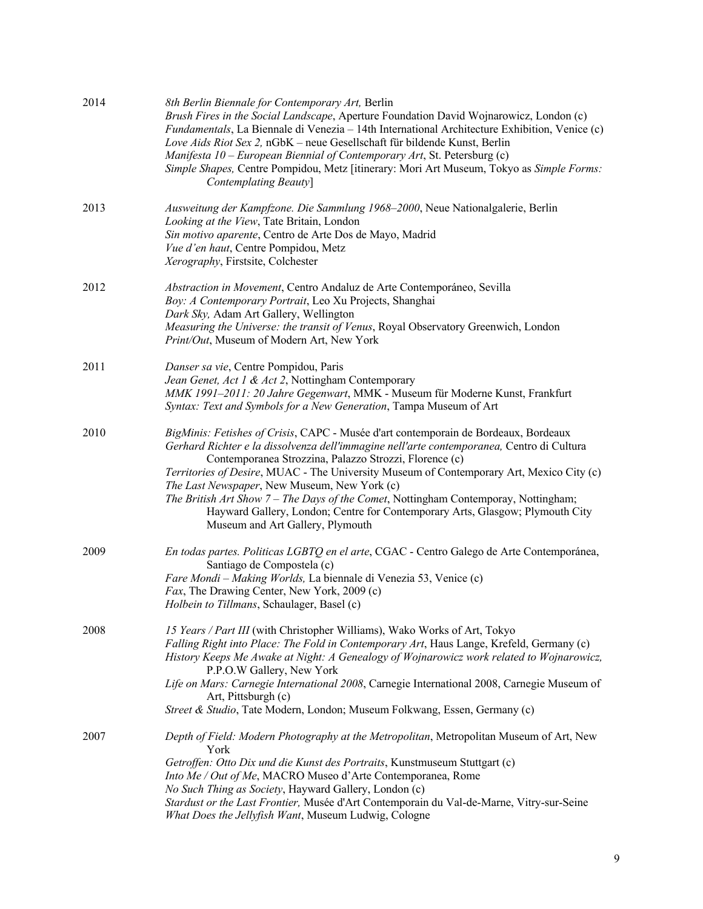| 2014 | 8th Berlin Biennale for Contemporary Art, Berlin<br>Brush Fires in the Social Landscape, Aperture Foundation David Wojnarowicz, London (c)<br>Fundamentals, La Biennale di Venezia - 14th International Architecture Exhibition, Venice (c)<br>Love Aids Riot Sex 2, nGbK - neue Gesellschaft für bildende Kunst, Berlin<br>Manifesta 10 – European Biennial of Contemporary Art, St. Petersburg (c)<br>Simple Shapes, Centre Pompidou, Metz [itinerary: Mori Art Museum, Tokyo as Simple Forms:<br>Contemplating Beauty]                                                                          |
|------|----------------------------------------------------------------------------------------------------------------------------------------------------------------------------------------------------------------------------------------------------------------------------------------------------------------------------------------------------------------------------------------------------------------------------------------------------------------------------------------------------------------------------------------------------------------------------------------------------|
| 2013 | Ausweitung der Kampfzone. Die Sammlung 1968-2000, Neue Nationalgalerie, Berlin<br>Looking at the View, Tate Britain, London<br>Sin motivo aparente, Centro de Arte Dos de Mayo, Madrid<br>Vue d'en haut, Centre Pompidou, Metz<br>Xerography, Firstsite, Colchester                                                                                                                                                                                                                                                                                                                                |
| 2012 | Abstraction in Movement, Centro Andaluz de Arte Contemporáneo, Sevilla<br>Boy: A Contemporary Portrait, Leo Xu Projects, Shanghai<br>Dark Sky, Adam Art Gallery, Wellington<br>Measuring the Universe: the transit of Venus, Royal Observatory Greenwich, London<br>Print/Out, Museum of Modern Art, New York                                                                                                                                                                                                                                                                                      |
| 2011 | Danser sa vie, Centre Pompidou, Paris<br>Jean Genet, Act 1 & Act 2, Nottingham Contemporary<br>MMK 1991-2011: 20 Jahre Gegenwart, MMK - Museum für Moderne Kunst, Frankfurt<br>Syntax: Text and Symbols for a New Generation, Tampa Museum of Art                                                                                                                                                                                                                                                                                                                                                  |
| 2010 | BigMinis: Fetishes of Crisis, CAPC - Musée d'art contemporain de Bordeaux, Bordeaux<br>Gerhard Richter e la dissolvenza dell'immagine nell'arte contemporanea, Centro di Cultura<br>Contemporanea Strozzina, Palazzo Strozzi, Florence (c)<br>Territories of Desire, MUAC - The University Museum of Contemporary Art, Mexico City (c)<br>The Last Newspaper, New Museum, New York (c)<br>The British Art Show 7 - The Days of the Comet, Nottingham Contemporay, Nottingham;<br>Hayward Gallery, London; Centre for Contemporary Arts, Glasgow; Plymouth City<br>Museum and Art Gallery, Plymouth |
| 2009 | En todas partes. Politicas LGBTQ en el arte, CGAC - Centro Galego de Arte Contemporánea,<br>Santiago de Compostela (c)<br>Fare Mondi - Making Worlds, La biennale di Venezia 53, Venice (c)<br>Fax, The Drawing Center, New York, 2009 (c)<br>Holbein to Tillmans, Schaulager, Basel (c)                                                                                                                                                                                                                                                                                                           |
| 2008 | 15 Years / Part III (with Christopher Williams), Wako Works of Art, Tokyo<br>Falling Right into Place: The Fold in Contemporary Art, Haus Lange, Krefeld, Germany (c)<br>History Keeps Me Awake at Night: A Genealogy of Wojnarowicz work related to Wojnarowicz,<br>P.P.O.W Gallery, New York<br>Life on Mars: Carnegie International 2008, Carnegie International 2008, Carnegie Museum of<br>Art, Pittsburgh (c)<br>Street & Studio, Tate Modern, London; Museum Folkwang, Essen, Germany (c)                                                                                                   |
| 2007 | Depth of Field: Modern Photography at the Metropolitan, Metropolitan Museum of Art, New<br>York<br>Getroffen: Otto Dix und die Kunst des Portraits, Kunstmuseum Stuttgart (c)<br>Into Me / Out of Me, MACRO Museo d'Arte Contemporanea, Rome<br>No Such Thing as Society, Hayward Gallery, London (c)<br>Stardust or the Last Frontier, Musée d'Art Contemporain du Val-de-Marne, Vitry-sur-Seine<br>What Does the Jellyfish Want, Museum Ludwig, Cologne                                                                                                                                          |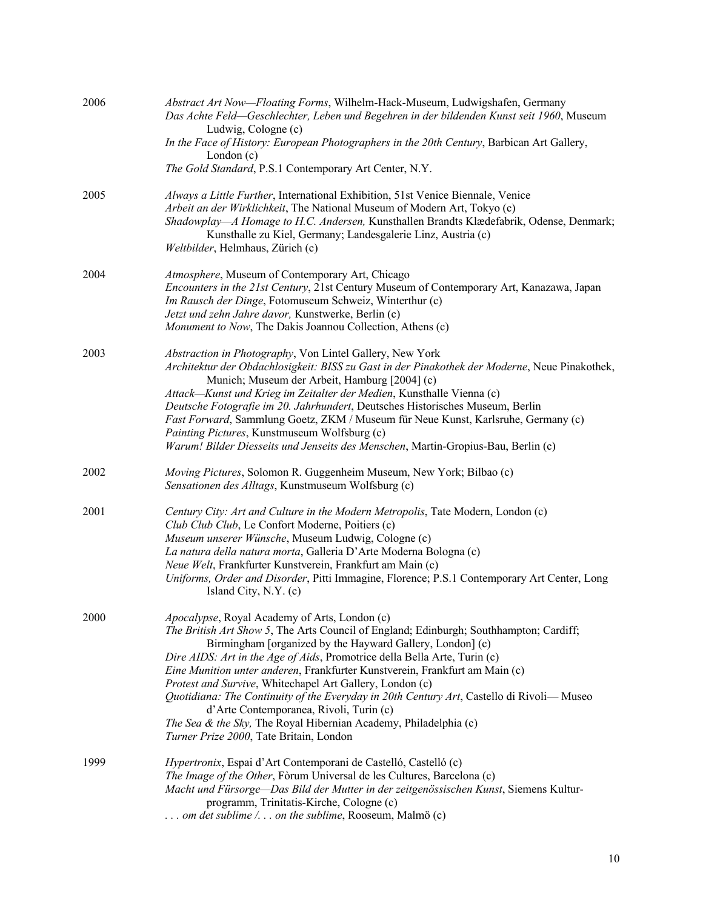| 2006 | Abstract Art Now-Floating Forms, Wilhelm-Hack-Museum, Ludwigshafen, Germany<br>Das Achte Feld-Geschlechter, Leben und Begehren in der bildenden Kunst seit 1960, Museum<br>Ludwig, Cologne (c)                                                                                                                                                                                                                                                                                                                                                                                                                                                                                     |
|------|------------------------------------------------------------------------------------------------------------------------------------------------------------------------------------------------------------------------------------------------------------------------------------------------------------------------------------------------------------------------------------------------------------------------------------------------------------------------------------------------------------------------------------------------------------------------------------------------------------------------------------------------------------------------------------|
|      | In the Face of History: European Photographers in the 20th Century, Barbican Art Gallery,<br>London $(c)$                                                                                                                                                                                                                                                                                                                                                                                                                                                                                                                                                                          |
|      | The Gold Standard, P.S.1 Contemporary Art Center, N.Y.                                                                                                                                                                                                                                                                                                                                                                                                                                                                                                                                                                                                                             |
| 2005 | Always a Little Further, International Exhibition, 51st Venice Biennale, Venice<br>Arbeit an der Wirklichkeit, The National Museum of Modern Art, Tokyo (c)<br>Shadowplay-A Homage to H.C. Andersen, Kunsthallen Brandts Klædefabrik, Odense, Denmark;<br>Kunsthalle zu Kiel, Germany; Landesgalerie Linz, Austria (c)<br>Weltbilder, Helmhaus, Zürich (c)                                                                                                                                                                                                                                                                                                                         |
| 2004 | Atmosphere, Museum of Contemporary Art, Chicago<br>Encounters in the 21st Century, 21st Century Museum of Contemporary Art, Kanazawa, Japan<br>Im Rausch der Dinge, Fotomuseum Schweiz, Winterthur (c)<br>Jetzt und zehn Jahre davor, Kunstwerke, Berlin (c)<br>Monument to Now, The Dakis Joannou Collection, Athens (c)                                                                                                                                                                                                                                                                                                                                                          |
| 2003 | Abstraction in Photography, Von Lintel Gallery, New York<br>Architektur der Obdachlosigkeit: BISS zu Gast in der Pinakothek der Moderne, Neue Pinakothek,<br>Munich; Museum der Arbeit, Hamburg [2004] (c)<br>Attack—Kunst und Krieg im Zeitalter der Medien, Kunsthalle Vienna (c)<br>Deutsche Fotografie im 20. Jahrhundert, Deutsches Historisches Museum, Berlin<br>Fast Forward, Sammlung Goetz, ZKM / Museum für Neue Kunst, Karlsruhe, Germany (c)<br>Painting Pictures, Kunstmuseum Wolfsburg (c)<br>Warum! Bilder Diesseits und Jenseits des Menschen, Martin-Gropius-Bau, Berlin (c)                                                                                     |
| 2002 | Moving Pictures, Solomon R. Guggenheim Museum, New York; Bilbao (c)<br>Sensationen des Alltags, Kunstmuseum Wolfsburg (c)                                                                                                                                                                                                                                                                                                                                                                                                                                                                                                                                                          |
| 2001 | Century City: Art and Culture in the Modern Metropolis, Tate Modern, London (c)<br>Club Club Club, Le Confort Moderne, Poitiers (c)<br>Museum unserer Wünsche, Museum Ludwig, Cologne (c)<br>La natura della natura morta, Galleria D'Arte Moderna Bologna (c)<br>Neue Welt, Frankfurter Kunstverein, Frankfurt am Main (c)<br>Uniforms, Order and Disorder, Pitti Immagine, Florence; P.S.1 Contemporary Art Center, Long<br>Island City, N.Y. (c)                                                                                                                                                                                                                                |
| 2000 | Apocalypse, Royal Academy of Arts, London (c)<br>The British Art Show 5, The Arts Council of England; Edinburgh; Southhampton; Cardiff;<br>Birmingham [organized by the Hayward Gallery, London] (c)<br>Dire AIDS: Art in the Age of Aids, Promotrice della Bella Arte, Turin (c)<br>Eine Munition unter anderen, Frankfurter Kunstverein, Frankfurt am Main (c)<br>Protest and Survive, Whitechapel Art Gallery, London (c)<br>Quotidiana: The Continuity of the Everyday in 20th Century Art, Castello di Rivoli-Museo<br>d'Arte Contemporanea, Rivoli, Turin (c)<br>The Sea & the Sky, The Royal Hibernian Academy, Philadelphia (c)<br>Turner Prize 2000, Tate Britain, London |
| 1999 | Hypertronix, Espai d'Art Contemporani de Castelló, Castelló (c)<br>The Image of the Other, Fòrum Universal de les Cultures, Barcelona (c)<br>Macht und Fürsorge-Das Bild der Mutter in der zeitgenössischen Kunst, Siemens Kultur-<br>programm, Trinitatis-Kirche, Cologne (c)<br>om det sublime / on the sublime, Rooseum, Malmö (c)                                                                                                                                                                                                                                                                                                                                              |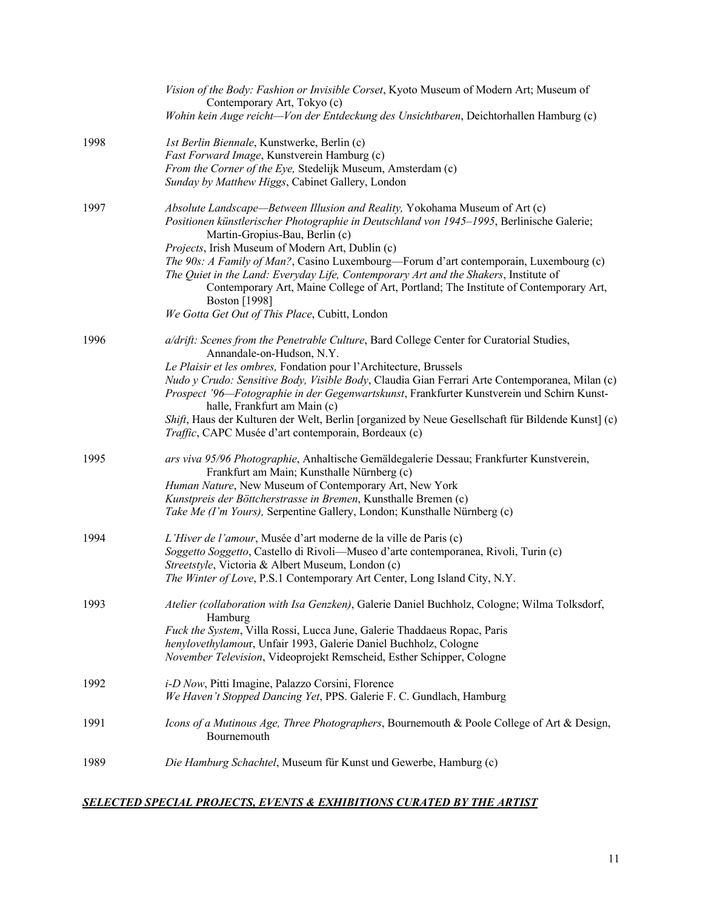|      | Vision of the Body: Fashion or Invisible Corset, Kyoto Museum of Modern Art; Museum of<br>Contemporary Art, Tokyo (c)                                                                                                                                                                                                                                                                                                                                                                                                                                                                                      |
|------|------------------------------------------------------------------------------------------------------------------------------------------------------------------------------------------------------------------------------------------------------------------------------------------------------------------------------------------------------------------------------------------------------------------------------------------------------------------------------------------------------------------------------------------------------------------------------------------------------------|
|      | Wohin kein Auge reicht—Von der Entdeckung des Unsichtbaren, Deichtorhallen Hamburg (c)                                                                                                                                                                                                                                                                                                                                                                                                                                                                                                                     |
| 1998 | 1st Berlin Biennale, Kunstwerke, Berlin (c)<br>Fast Forward Image, Kunstverein Hamburg (c)<br>From the Corner of the Eye, Stedelijk Museum, Amsterdam (c)<br>Sunday by Matthew Higgs, Cabinet Gallery, London                                                                                                                                                                                                                                                                                                                                                                                              |
| 1997 | Absolute Landscape—Between Illusion and Reality, Yokohama Museum of Art (c)<br>Positionen künstlerischer Photographie in Deutschland von 1945-1995, Berlinische Galerie;<br>Martin-Gropius-Bau, Berlin (c)<br>Projects, Irish Museum of Modern Art, Dublin (c)<br>The 90s: A Family of Man?, Casino Luxembourg—Forum d'art contemporain, Luxembourg (c)<br>The Quiet in the Land: Everyday Life, Contemporary Art and the Shakers, Institute of<br>Contemporary Art, Maine College of Art, Portland; The Institute of Contemporary Art,<br>Boston [1998]<br>We Gotta Get Out of This Place, Cubitt, London |
| 1996 | a/drift: Scenes from the Penetrable Culture, Bard College Center for Curatorial Studies,<br>Annandale-on-Hudson, N.Y.<br>Le Plaisir et les ombres, Fondation pour l'Architecture, Brussels<br>Nudo y Crudo: Sensitive Body, Visible Body, Claudia Gian Ferrari Arte Contemporanea, Milan (c)<br>Prospect '96-Fotographie in der Gegenwartskunst, Frankfurter Kunstverein und Schirn Kunst-<br>halle, Frankfurt am Main (c)<br>Shift, Haus der Kulturen der Welt, Berlin [organized by Neue Gesellschaft für Bildende Kunst] (c)<br>Traffic, CAPC Musée d'art contemporain, Bordeaux (c)                    |
| 1995 | ars viva 95/96 Photographie, Anhaltische Gemäldegalerie Dessau; Frankfurter Kunstverein,<br>Frankfurt am Main; Kunsthalle Nürnberg (c)<br>Human Nature, New Museum of Contemporary Art, New York<br>Kunstpreis der Böttcherstrasse in Bremen, Kunsthalle Bremen (c)<br>Take Me (I'm Yours), Serpentine Gallery, London; Kunsthalle Nürnberg (c)                                                                                                                                                                                                                                                            |
| 1994 | L'Hiver de l'amour, Musée d'art moderne de la ville de Paris (c)<br>Soggetto Soggetto, Castello di Rivoli—Museo d'arte contemporanea, Rivoli, Turin (c)<br>Streetstyle, Victoria & Albert Museum, London (c)<br>The Winter of Love, P.S.1 Contemporary Art Center, Long Island City, N.Y.                                                                                                                                                                                                                                                                                                                  |
| 1993 | Atelier (collaboration with Isa Genzken), Galerie Daniel Buchholz, Cologne; Wilma Tolksdorf,<br>Hamburg<br>Fuck the System, Villa Rossi, Lucca June, Galerie Thaddaeus Ropac, Paris<br>henylovethylamour, Unfair 1993, Galerie Daniel Buchholz, Cologne<br>November Television, Videoprojekt Remscheid, Esther Schipper, Cologne                                                                                                                                                                                                                                                                           |
| 1992 | i-D Now, Pitti Imagine, Palazzo Corsini, Florence<br>We Haven't Stopped Dancing Yet, PPS. Galerie F. C. Gundlach, Hamburg                                                                                                                                                                                                                                                                                                                                                                                                                                                                                  |
| 1991 | Icons of a Mutinous Age, Three Photographers, Bournemouth & Poole College of Art & Design,<br>Bournemouth                                                                                                                                                                                                                                                                                                                                                                                                                                                                                                  |
| 1989 | Die Hamburg Schachtel, Museum für Kunst und Gewerbe, Hamburg (c)                                                                                                                                                                                                                                                                                                                                                                                                                                                                                                                                           |

# *SELECTED SPECIAL PROJECTS, EVENTS & EXHIBITIONS CURATED BY THE ARTIST*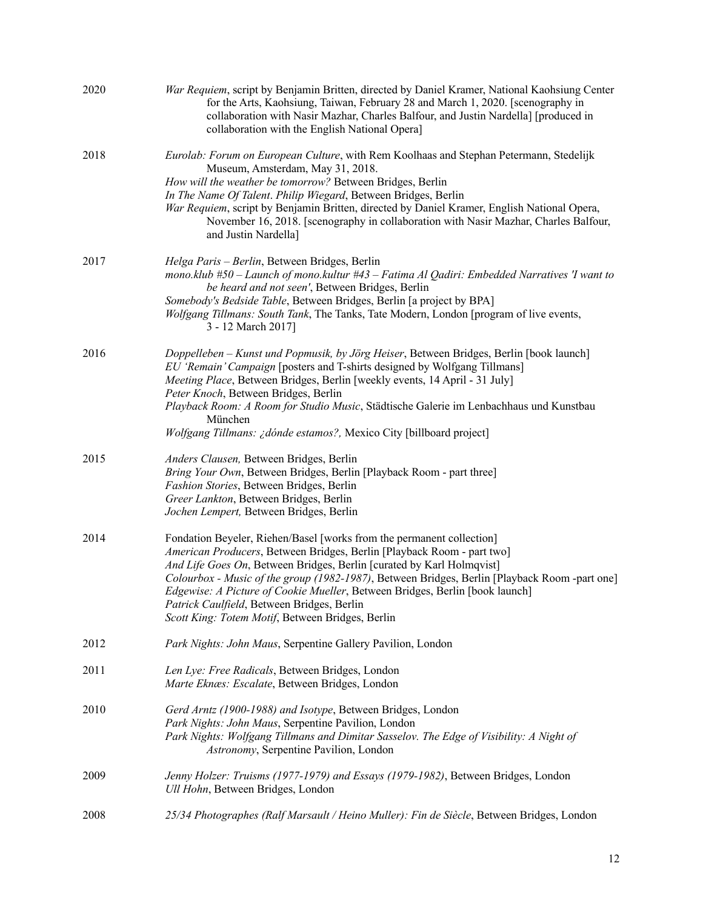| 2020 | War Requiem, script by Benjamin Britten, directed by Daniel Kramer, National Kaohsiung Center<br>for the Arts, Kaohsiung, Taiwan, February 28 and March 1, 2020. [scenography in<br>collaboration with Nasir Mazhar, Charles Balfour, and Justin Nardella] [produced in<br>collaboration with the English National Opera]                                                                                                                                                                                   |
|------|-------------------------------------------------------------------------------------------------------------------------------------------------------------------------------------------------------------------------------------------------------------------------------------------------------------------------------------------------------------------------------------------------------------------------------------------------------------------------------------------------------------|
| 2018 | Eurolab: Forum on European Culture, with Rem Koolhaas and Stephan Petermann, Stedelijk<br>Museum, Amsterdam, May 31, 2018.<br>How will the weather be tomorrow? Between Bridges, Berlin<br>In The Name Of Talent. Philip Wiegard, Between Bridges, Berlin<br>War Requiem, script by Benjamin Britten, directed by Daniel Kramer, English National Opera,<br>November 16, 2018. [scenography in collaboration with Nasir Mazhar, Charles Balfour,<br>and Justin Nardella]                                    |
| 2017 | Helga Paris - Berlin, Between Bridges, Berlin<br>mono.klub #50 - Launch of mono.kultur #43 - Fatima Al Qadiri: Embedded Narratives 'I want to<br>be heard and not seen', Between Bridges, Berlin<br>Somebody's Bedside Table, Between Bridges, Berlin [a project by BPA]<br>Wolfgang Tillmans: South Tank, The Tanks, Tate Modern, London [program of live events,<br>3 - 12 March 2017]                                                                                                                    |
| 2016 | Doppelleben - Kunst und Popmusik, by Jörg Heiser, Between Bridges, Berlin [book launch]<br>EU 'Remain' Campaign [posters and T-shirts designed by Wolfgang Tillmans]<br>Meeting Place, Between Bridges, Berlin [weekly events, 14 April - 31 July]<br>Peter Knoch, Between Bridges, Berlin<br>Playback Room: A Room for Studio Music, Städtische Galerie im Lenbachhaus und Kunstbau<br>München<br>Wolfgang Tillmans: ¿dónde estamos?, Mexico City [billboard project]                                      |
| 2015 | Anders Clausen, Between Bridges, Berlin<br>Bring Your Own, Between Bridges, Berlin [Playback Room - part three]<br>Fashion Stories, Between Bridges, Berlin<br>Greer Lankton, Between Bridges, Berlin<br>Jochen Lempert, Between Bridges, Berlin                                                                                                                                                                                                                                                            |
| 2014 | Fondation Beyeler, Riehen/Basel [works from the permanent collection]<br>American Producers, Between Bridges, Berlin [Playback Room - part two]<br>And Life Goes On, Between Bridges, Berlin [curated by Karl Holmqvist]<br>Colourbox - Music of the group (1982-1987), Between Bridges, Berlin [Playback Room -part one]<br>Edgewise: A Picture of Cookie Mueller, Between Bridges, Berlin [book launch]<br>Patrick Caulfield, Between Bridges, Berlin<br>Scott King: Totem Motif, Between Bridges, Berlin |
| 2012 | Park Nights: John Maus, Serpentine Gallery Pavilion, London                                                                                                                                                                                                                                                                                                                                                                                                                                                 |
| 2011 | Len Lye: Free Radicals, Between Bridges, London<br>Marte Eknæs: Escalate, Between Bridges, London                                                                                                                                                                                                                                                                                                                                                                                                           |
| 2010 | Gerd Arntz (1900-1988) and Isotype, Between Bridges, London<br>Park Nights: John Maus, Serpentine Pavilion, London<br>Park Nights: Wolfgang Tillmans and Dimitar Sasselov. The Edge of Visibility: A Night of<br>Astronomy, Serpentine Pavilion, London                                                                                                                                                                                                                                                     |
| 2009 | Jenny Holzer: Truisms (1977-1979) and Essays (1979-1982), Between Bridges, London<br>Ull Hohn, Between Bridges, London                                                                                                                                                                                                                                                                                                                                                                                      |
| 2008 | 25/34 Photographes (Ralf Marsault / Heino Muller): Fin de Siècle, Between Bridges, London                                                                                                                                                                                                                                                                                                                                                                                                                   |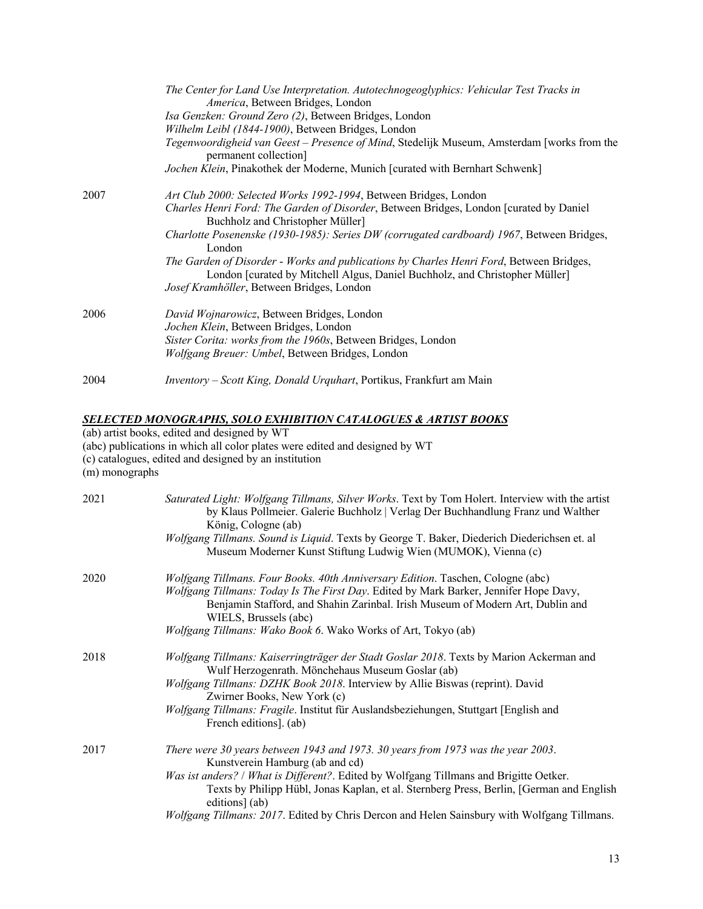| The Center for Land Use Interpretation. Autotechnogeoglyphics: Vehicular Test Tracks in<br>America, Between Bridges, London                                            |
|------------------------------------------------------------------------------------------------------------------------------------------------------------------------|
| Isa Genzken: Ground Zero (2), Between Bridges, London                                                                                                                  |
| Wilhelm Leibl (1844-1900), Between Bridges, London                                                                                                                     |
| Tegenwoordigheid van Geest – Presence of Mind, Stedelijk Museum, Amsterdam [works from the<br>permanent collection]                                                    |
| Jochen Klein, Pinakothek der Moderne, Munich [curated with Bernhart Schwenk]                                                                                           |
| <i>Art Club 2000: Selected Works 1992-1994</i> , Between Bridges, London                                                                                               |
| Charles Henri Ford: The Garden of Disorder, Between Bridges, London [curated by Daniel]<br>Buchholz and Christopher Müller]                                            |
| Charlotte Posenenske (1930-1985): Series DW (corrugated cardboard) 1967, Between Bridges,<br>London                                                                    |
| The Garden of Disorder - Works and publications by Charles Henri Ford, Between Bridges,<br>London [curated by Mitchell Algus, Daniel Buchholz, and Christopher Müller] |
| Josef Kramhöller, Between Bridges, London                                                                                                                              |
| David Wojnarowicz, Between Bridges, London                                                                                                                             |
| Jochen Klein, Between Bridges, London                                                                                                                                  |
| Sister Corita: works from the 1960s, Between Bridges, London                                                                                                           |
| Wolfgang Breuer: Umbel, Between Bridges, London                                                                                                                        |
| Inventory – Scott King, Donald Urquhart, Portikus, Frankfurt am Main                                                                                                   |
|                                                                                                                                                                        |

#### *SELECTED MONOGRAPHS, SOLO EXHIBITION CATALOGUES & ARTIST BOOKS*

(ab) artist books, edited and designed by WT

(abc) publications in which all color plates were edited and designed by WT

(c) catalogues, edited and designed by an institution

 $\lim_{m \to \infty}$  monographs

| 2021 | Saturated Light: Wolfgang Tillmans, Silver Works. Text by Tom Holert. Interview with the artist<br>by Klaus Pollmeier. Galerie Buchholz   Verlag Der Buchhandlung Franz und Walther<br>König, Cologne (ab)<br>Wolfgang Tillmans. Sound is Liquid. Texts by George T. Baker, Diederich Diederichsen et. al<br>Museum Moderner Kunst Stiftung Ludwig Wien (MUMOK), Vienna (c)                                                |
|------|----------------------------------------------------------------------------------------------------------------------------------------------------------------------------------------------------------------------------------------------------------------------------------------------------------------------------------------------------------------------------------------------------------------------------|
| 2020 | Wolfgang Tillmans. Four Books. 40th Anniversary Edition. Taschen, Cologne (abc)<br>Wolfgang Tillmans: Today Is The First Day. Edited by Mark Barker, Jennifer Hope Davy,<br>Benjamin Stafford, and Shahin Zarinbal. Irish Museum of Modern Art, Dublin and<br>WIELS, Brussels (abc)<br>Wolfgang Tillmans: Wako Book 6. Wako Works of Art, Tokyo (ab)                                                                       |
| 2018 | Wolfgang Tillmans: Kaiserringträger der Stadt Goslar 2018. Texts by Marion Ackerman and<br>Wulf Herzogenrath. Mönchehaus Museum Goslar (ab)<br>Wolfgang Tillmans: DZHK Book 2018. Interview by Allie Biswas (reprint). David<br>Zwirner Books, New York (c)<br>Wolfgang Tillmans: Fragile. Institut für Auslandsbeziehungen, Stuttgart [English and<br>French editions]. (ab)                                              |
| 2017 | There were 30 years between 1943 and 1973. 30 years from 1973 was the year 2003.<br>Kunstverein Hamburg (ab and cd)<br>Was ist anders? / What is Different?. Edited by Wolfgang Tillmans and Brigitte Oetker.<br>Texts by Philipp Hübl, Jonas Kaplan, et al. Sternberg Press, Berlin, [German and English<br>editions] (ab)<br>Wolfgang Tillmans: 2017. Edited by Chris Dercon and Helen Sainsbury with Wolfgang Tillmans. |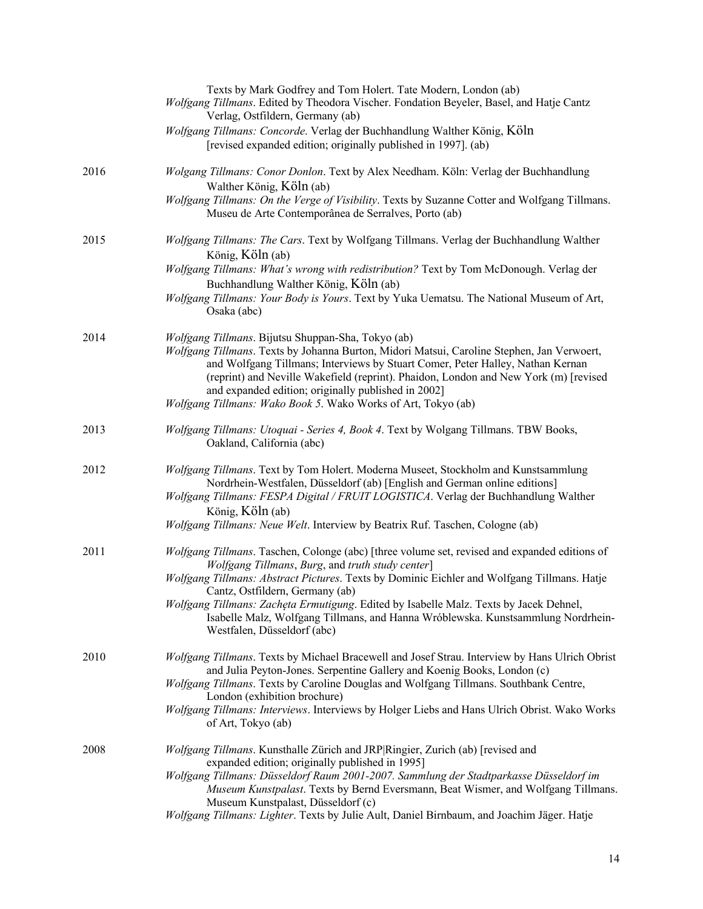|      | Texts by Mark Godfrey and Tom Holert. Tate Modern, London (ab)<br>Wolfgang Tillmans. Edited by Theodora Vischer. Fondation Beyeler, Basel, and Hatje Cantz<br>Verlag, Ostfildern, Germany (ab)                                                                                                                                                                                                                                                     |
|------|----------------------------------------------------------------------------------------------------------------------------------------------------------------------------------------------------------------------------------------------------------------------------------------------------------------------------------------------------------------------------------------------------------------------------------------------------|
|      | Wolfgang Tillmans: Concorde. Verlag der Buchhandlung Walther König, Köln<br>[revised expanded edition; originally published in 1997]. (ab)                                                                                                                                                                                                                                                                                                         |
| 2016 | Wolgang Tillmans: Conor Donlon. Text by Alex Needham. Köln: Verlag der Buchhandlung<br>Walther König, Köln (ab)                                                                                                                                                                                                                                                                                                                                    |
|      | Wolfgang Tillmans: On the Verge of Visibility. Texts by Suzanne Cotter and Wolfgang Tillmans.<br>Museu de Arte Contemporânea de Serralves, Porto (ab)                                                                                                                                                                                                                                                                                              |
| 2015 | Wolfgang Tillmans: The Cars. Text by Wolfgang Tillmans. Verlag der Buchhandlung Walther<br>König, Köln (ab)                                                                                                                                                                                                                                                                                                                                        |
|      | Wolfgang Tillmans: What's wrong with redistribution? Text by Tom McDonough. Verlag der<br>Buchhandlung Walther König, Köln (ab)                                                                                                                                                                                                                                                                                                                    |
|      | Wolfgang Tillmans: Your Body is Yours. Text by Yuka Uematsu. The National Museum of Art,<br>Osaka (abc)                                                                                                                                                                                                                                                                                                                                            |
| 2014 | Wolfgang Tillmans. Bijutsu Shuppan-Sha, Tokyo (ab)<br>Wolfgang Tillmans. Texts by Johanna Burton, Midori Matsui, Caroline Stephen, Jan Verwoert,<br>and Wolfgang Tillmans; Interviews by Stuart Comer, Peter Halley, Nathan Kernan<br>(reprint) and Neville Wakefield (reprint). Phaidon, London and New York (m) [revised<br>and expanded edition; originally published in 2002]<br>Wolfgang Tillmans: Wako Book 5. Wako Works of Art, Tokyo (ab) |
| 2013 | Wolfgang Tillmans: Utoquai - Series 4, Book 4. Text by Wolgang Tillmans. TBW Books,<br>Oakland, California (abc)                                                                                                                                                                                                                                                                                                                                   |
| 2012 | Wolfgang Tillmans. Text by Tom Holert. Moderna Museet, Stockholm and Kunstsammlung<br>Nordrhein-Westfalen, Düsseldorf (ab) [English and German online editions]<br>Wolfgang Tillmans: FESPA Digital / FRUIT LOGISTICA. Verlag der Buchhandlung Walther<br>König, Köln (ab)                                                                                                                                                                         |
|      | Wolfgang Tillmans: Neue Welt. Interview by Beatrix Ruf. Taschen, Cologne (ab)                                                                                                                                                                                                                                                                                                                                                                      |
| 2011 | Wolfgang Tillmans. Taschen, Colonge (abc) [three volume set, revised and expanded editions of<br>Wolfgang Tillmans, Burg, and truth study center]<br>Wolfgang Tillmans: Abstract Pictures. Texts by Dominic Eichler and Wolfgang Tillmans. Hatje<br>Cantz, Ostfildern, Germany (ab)                                                                                                                                                                |
|      | Wolfgang Tillmans: Zachęta Ermutigung. Edited by Isabelle Malz. Texts by Jacek Dehnel,<br>Isabelle Malz, Wolfgang Tillmans, and Hanna Wróblewska. Kunstsammlung Nordrhein-<br>Westfalen, Düsseldorf (abc)                                                                                                                                                                                                                                          |
| 2010 | Wolfgang Tillmans. Texts by Michael Bracewell and Josef Strau. Interview by Hans Ulrich Obrist<br>and Julia Peyton-Jones. Serpentine Gallery and Koenig Books, London (c)                                                                                                                                                                                                                                                                          |
|      | Wolfgang Tillmans. Texts by Caroline Douglas and Wolfgang Tillmans. Southbank Centre,<br>London (exhibition brochure)                                                                                                                                                                                                                                                                                                                              |
|      | Wolfgang Tillmans: Interviews. Interviews by Holger Liebs and Hans Ulrich Obrist. Wako Works<br>of Art, Tokyo (ab)                                                                                                                                                                                                                                                                                                                                 |
| 2008 | Wolfgang Tillmans. Kunsthalle Zürich and JRP Ringier, Zurich (ab) [revised and<br>expanded edition; originally published in 1995]                                                                                                                                                                                                                                                                                                                  |
|      | Wolfgang Tillmans: Düsseldorf Raum 2001-2007. Sammlung der Stadtparkasse Düsseldorf im<br>Museum Kunstpalast. Texts by Bernd Eversmann, Beat Wismer, and Wolfgang Tillmans.<br>Museum Kunstpalast, Düsseldorf (c)<br>Wolfgang Tillmans: Lighter. Texts by Julie Ault, Daniel Birnbaum, and Joachim Jäger. Hatje                                                                                                                                    |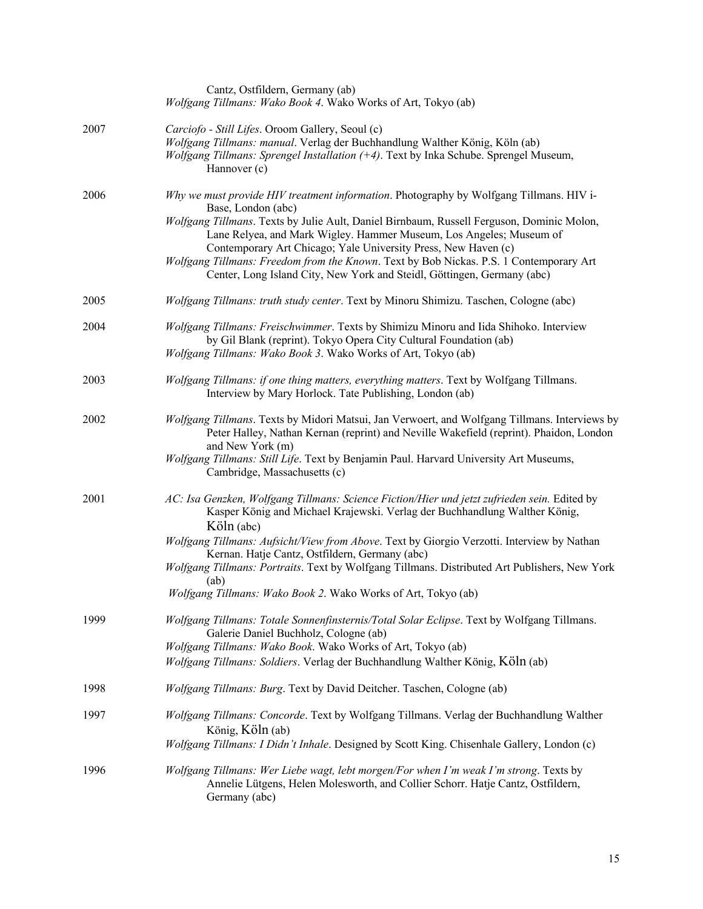|      | Cantz, Ostfildern, Germany (ab)<br>Wolfgang Tillmans: Wako Book 4. Wako Works of Art, Tokyo (ab)                                                                                                                                                                                                                                                                                                                                                                                                                         |
|------|--------------------------------------------------------------------------------------------------------------------------------------------------------------------------------------------------------------------------------------------------------------------------------------------------------------------------------------------------------------------------------------------------------------------------------------------------------------------------------------------------------------------------|
| 2007 | Carciofo - Still Lifes. Oroom Gallery, Seoul (c)<br>Wolfgang Tillmans: manual. Verlag der Buchhandlung Walther König, Köln (ab)<br>Wolfgang Tillmans: Sprengel Installation (+4). Text by Inka Schube. Sprengel Museum,<br>Hannover (c)                                                                                                                                                                                                                                                                                  |
| 2006 | Why we must provide HIV treatment information. Photography by Wolfgang Tillmans. HIV i-<br>Base, London (abc)<br>Wolfgang Tillmans. Texts by Julie Ault, Daniel Birnbaum, Russell Ferguson, Dominic Molon,<br>Lane Relyea, and Mark Wigley. Hammer Museum, Los Angeles; Museum of<br>Contemporary Art Chicago; Yale University Press, New Haven (c)<br>Wolfgang Tillmans: Freedom from the Known. Text by Bob Nickas. P.S. 1 Contemporary Art<br>Center, Long Island City, New York and Steidl, Göttingen, Germany (abc) |
| 2005 | Wolfgang Tillmans: truth study center. Text by Minoru Shimizu. Taschen, Cologne (abc)                                                                                                                                                                                                                                                                                                                                                                                                                                    |
| 2004 | Wolfgang Tillmans: Freischwimmer. Texts by Shimizu Minoru and Iida Shihoko. Interview<br>by Gil Blank (reprint). Tokyo Opera City Cultural Foundation (ab)<br>Wolfgang Tillmans: Wako Book 3. Wako Works of Art, Tokyo (ab)                                                                                                                                                                                                                                                                                              |
| 2003 | Wolfgang Tillmans: if one thing matters, everything matters. Text by Wolfgang Tillmans.<br>Interview by Mary Horlock. Tate Publishing, London (ab)                                                                                                                                                                                                                                                                                                                                                                       |
| 2002 | Wolfgang Tillmans. Texts by Midori Matsui, Jan Verwoert, and Wolfgang Tillmans. Interviews by<br>Peter Halley, Nathan Kernan (reprint) and Neville Wakefield (reprint). Phaidon, London<br>and New York (m)<br>Wolfgang Tillmans: Still Life. Text by Benjamin Paul. Harvard University Art Museums,<br>Cambridge, Massachusetts (c)                                                                                                                                                                                     |
| 2001 | AC: Isa Genzken, Wolfgang Tillmans: Science Fiction/Hier und jetzt zufrieden sein. Edited by<br>Kasper König and Michael Krajewski. Verlag der Buchhandlung Walther König,<br>Köln (abc)<br>Wolfgang Tillmans: Aufsicht/View from Above. Text by Giorgio Verzotti. Interview by Nathan<br>Kernan. Hatje Cantz, Ostfildern, Germany (abc)<br>Wolfgang Tillmans: Portraits. Text by Wolfgang Tillmans. Distributed Art Publishers, New York<br>(ab)<br>Wolfgang Tillmans: Wako Book 2. Wako Works of Art, Tokyo (ab)       |
| 1999 | Wolfgang Tillmans: Totale Sonnenfinsternis/Total Solar Eclipse. Text by Wolfgang Tillmans.<br>Galerie Daniel Buchholz, Cologne (ab)<br>Wolfgang Tillmans: Wako Book. Wako Works of Art, Tokyo (ab)<br>Wolfgang Tillmans: Soldiers. Verlag der Buchhandlung Walther König, Köln (ab)                                                                                                                                                                                                                                      |
| 1998 | Wolfgang Tillmans: Burg. Text by David Deitcher. Taschen, Cologne (ab)                                                                                                                                                                                                                                                                                                                                                                                                                                                   |
| 1997 | Wolfgang Tillmans: Concorde. Text by Wolfgang Tillmans. Verlag der Buchhandlung Walther<br>König, Köln (ab)<br>Wolfgang Tillmans: I Didn't Inhale. Designed by Scott King. Chisenhale Gallery, London (c)                                                                                                                                                                                                                                                                                                                |
| 1996 | Wolfgang Tillmans: Wer Liebe wagt, lebt morgen/For when I'm weak I'm strong. Texts by<br>Annelie Lütgens, Helen Molesworth, and Collier Schorr. Hatje Cantz, Ostfildern,<br>Germany (abc)                                                                                                                                                                                                                                                                                                                                |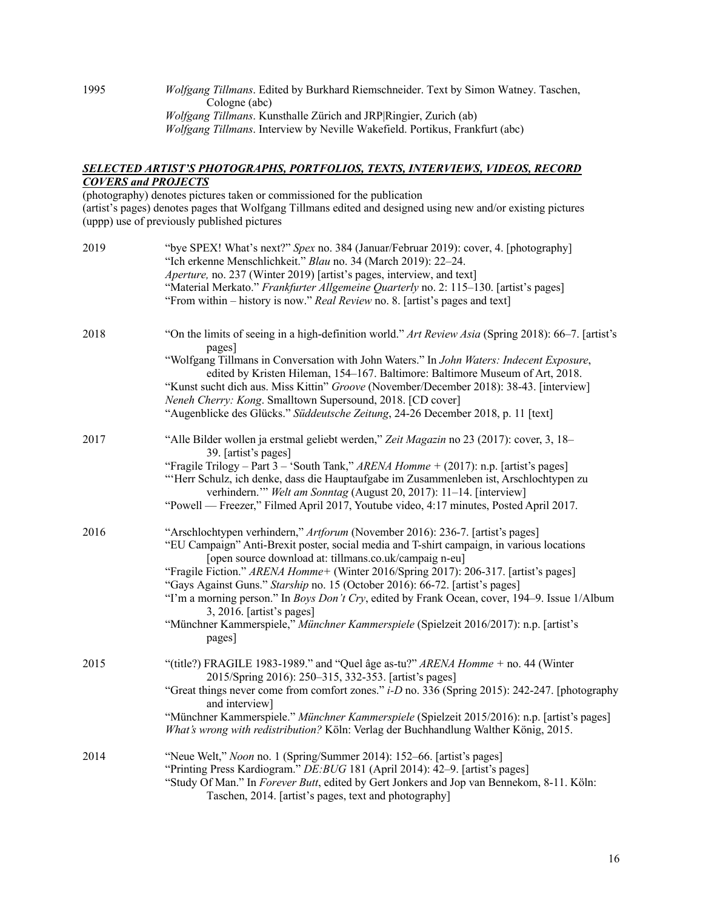1995 *Wolfgang Tillmans*. Edited by Burkhard Riemschneider. Text by Simon Watney. Taschen, Cologne (abc) *Wolfgang Tillmans*. Kunsthalle Zürich and JRP|Ringier, Zurich (ab) *Wolfgang Tillmans*. Interview by Neville Wakefield. Portikus, Frankfurt (abc)

### *SELECTED ARTIST'S PHOTOGRAPHS, PORTFOLIOS, TEXTS, INTERVIEWS, VIDEOS, RECORD COVERS and PROJECTS*

(photography) denotes pictures taken or commissioned for the publication (artist's pages) denotes pages that Wolfgang Tillmans edited and designed using new and/or existing pictures (uppp) use of previously published pictures

| 2019 | "bye SPEX! What's next?" Spex no. 384 (Januar/Februar 2019): cover, 4. [photography]<br>"Ich erkenne Menschlichkeit." Blau no. 34 (March 2019): 22-24.<br>Aperture, no. 237 (Winter 2019) [artist's pages, interview, and text]<br>"Material Merkato." Frankfurter Allgemeine Quarterly no. 2: 115-130. [artist's pages]<br>"From within – history is now." Real Review no. 8. [artist's pages and text]                                                                                                                                                                                                                                         |
|------|--------------------------------------------------------------------------------------------------------------------------------------------------------------------------------------------------------------------------------------------------------------------------------------------------------------------------------------------------------------------------------------------------------------------------------------------------------------------------------------------------------------------------------------------------------------------------------------------------------------------------------------------------|
| 2018 | "On the limits of seeing in a high-definition world." Art Review Asia (Spring 2018): 66–7. [artist's<br>pages]<br>"Wolfgang Tillmans in Conversation with John Waters." In John Waters: Indecent Exposure,<br>edited by Kristen Hileman, 154-167. Baltimore: Baltimore Museum of Art, 2018.<br>"Kunst sucht dich aus. Miss Kittin" Groove (November/December 2018): 38-43. [interview]<br>Neneh Cherry: Kong. Smalltown Supersound, 2018. [CD cover]<br>"Augenblicke des Glücks." Süddeutsche Zeitung, 24-26 December 2018, p. 11 [text]                                                                                                         |
| 2017 | "Alle Bilder wollen ja erstmal geliebt werden," Zeit Magazin no 23 (2017): cover, 3, 18–<br>39. [artist's pages]<br>"Fragile Trilogy - Part $3$ - 'South Tank," ARENA Homme + (2017): n.p. [artist's pages]<br>"Herr Schulz, ich denke, dass die Hauptaufgabe im Zusammenleben ist, Arschlochtypen zu<br>verhindern." Welt am Sonntag (August 20, 2017): 11-14. [interview]<br>"Powell — Freezer," Filmed April 2017, Youtube video, 4:17 minutes, Posted April 2017.                                                                                                                                                                            |
| 2016 | "Arschlochtypen verhindern," Artforum (November 2016): 236-7. [artist's pages]<br>"EU Campaign" Anti-Brexit poster, social media and T-shirt campaign, in various locations<br>[open source download at: tillmans.co.uk/campaig n-eu]<br>"Fragile Fiction." ARENA Homme+ (Winter 2016/Spring 2017): 206-317. [artist's pages]<br>"Gays Against Guns." Starship no. 15 (October 2016): 66-72. [artist's pages]<br>"I'm a morning person." In Boys Don't Cry, edited by Frank Ocean, cover, 194–9. Issue 1/Album<br>$3, 2016$ . [artist's pages]<br>"Münchner Kammerspiele," Münchner Kammerspiele (Spielzeit 2016/2017): n.p. [artist's<br>pages] |
| 2015 | "(title?) FRAGILE 1983-1989." and "Quel âge as-tu?" ARENA Homme + no. 44 (Winter<br>2015/Spring 2016): 250-315, 332-353. [artist's pages]<br>"Great things never come from comfort zones." <i>i-D</i> no. 336 (Spring 2015): 242-247. [photography<br>and interview]<br>"Münchner Kammerspiele." Münchner Kammerspiele (Spielzeit 2015/2016): n.p. [artist's pages]<br>What's wrong with redistribution? Köln: Verlag der Buchhandlung Walther König, 2015.                                                                                                                                                                                      |
| 2014 | "Neue Welt," Noon no. 1 (Spring/Summer 2014): 152-66. [artist's pages]<br>"Printing Press Kardiogram." DE: BUG 181 (April 2014): 42-9. [artist's pages]<br>"Study Of Man." In Forever Butt, edited by Gert Jonkers and Jop van Bennekom, 8-11. Köln:<br>Taschen, 2014. [artist's pages, text and photography]                                                                                                                                                                                                                                                                                                                                    |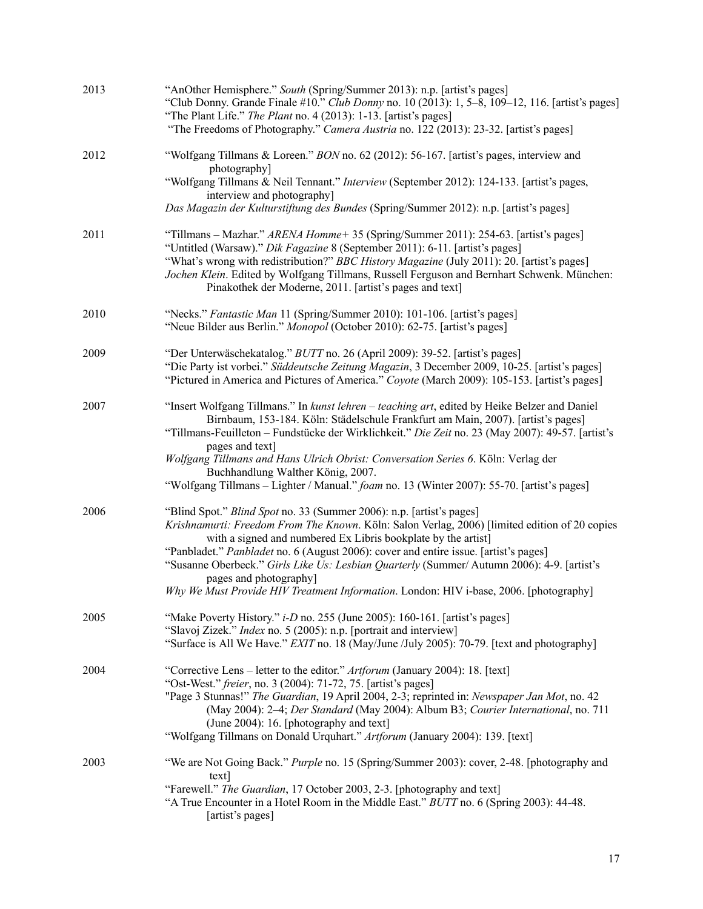| 2013 | "AnOther Hemisphere." South (Spring/Summer 2013): n.p. [artist's pages]<br>"Club Donny. Grande Finale #10." Club Donny no. 10 (2013): 1, 5–8, 109–12, 116. [artist's pages]<br>"The Plant Life." The Plant no. 4 (2013): 1-13. [artist's pages]<br>"The Freedoms of Photography." Camera Austria no. 122 (2013): 23-32. [artist's pages]                                                                                                                                                                                                         |
|------|--------------------------------------------------------------------------------------------------------------------------------------------------------------------------------------------------------------------------------------------------------------------------------------------------------------------------------------------------------------------------------------------------------------------------------------------------------------------------------------------------------------------------------------------------|
| 2012 | "Wolfgang Tillmans & Loreen." BON no. 62 (2012): 56-167. [artist's pages, interview and<br>photography]<br>"Wolfgang Tillmans & Neil Tennant." Interview (September 2012): 124-133. [artist's pages,<br>interview and photography]<br>Das Magazin der Kulturstiftung des Bundes (Spring/Summer 2012): n.p. [artist's pages]                                                                                                                                                                                                                      |
| 2011 | "Tillmans – Mazhar." ARENA Homme+ 35 (Spring/Summer 2011): 254-63. [artist's pages]<br>"Untitled (Warsaw)." Dik Fagazine 8 (September 2011): 6-11. [artist's pages]<br>"What's wrong with redistribution?" BBC History Magazine (July 2011): 20. [artist's pages]<br>Jochen Klein. Edited by Wolfgang Tillmans, Russell Ferguson and Bernhart Schwenk. München:<br>Pinakothek der Moderne, 2011. [artist's pages and text]                                                                                                                       |
| 2010 | "Necks." Fantastic Man 11 (Spring/Summer 2010): 101-106. [artist's pages]<br>"Neue Bilder aus Berlin." Monopol (October 2010): 62-75. [artist's pages]                                                                                                                                                                                                                                                                                                                                                                                           |
| 2009 | "Der Unterwäschekatalog." BUTT no. 26 (April 2009): 39-52. [artist's pages]<br>"Die Party ist vorbei." Süddeutsche Zeitung Magazin, 3 December 2009, 10-25. [artist's pages]<br>"Pictured in America and Pictures of America." Coyote (March 2009): 105-153. [artist's pages]                                                                                                                                                                                                                                                                    |
| 2007 | "Insert Wolfgang Tillmans." In kunst lehren - teaching art, edited by Heike Belzer and Daniel<br>Birnbaum, 153-184. Köln: Städelschule Frankfurt am Main, 2007). [artist's pages]<br>"Tillmans-Feuilleton - Fundstücke der Wirklichkeit." Die Zeit no. 23 (May 2007): 49-57. [artist's<br>pages and text]<br>Wolfgang Tillmans and Hans Ulrich Obrist: Conversation Series 6. Köln: Verlag der<br>Buchhandlung Walther König, 2007.<br>"Wolfgang Tillmans - Lighter / Manual." foam no. 13 (Winter 2007): 55-70. [artist's pages]                |
| 2006 | "Blind Spot." Blind Spot no. 33 (Summer 2006): n.p. [artist's pages]<br>Krishnamurti: Freedom From The Known. Köln: Salon Verlag, 2006) [limited edition of 20 copies<br>with a signed and numbered Ex Libris bookplate by the artist]<br>"Panbladet." Panbladet no. 6 (August 2006): cover and entire issue. [artist's pages]<br>"Susanne Oberbeck." Girls Like Us: Lesbian Quarterly (Summer/ Autumn 2006): 4-9. [artist's<br>pages and photography]<br>Why We Must Provide HIV Treatment Information. London: HIV i-base, 2006. [photography] |
| 2005 | "Make Poverty History." i-D no. 255 (June 2005): 160-161. [artist's pages]<br>"Slavoj Zizek." Index no. 5 (2005): n.p. [portrait and interview]<br>"Surface is All We Have." EXIT no. 18 (May/June /July 2005): 70-79. [text and photography]                                                                                                                                                                                                                                                                                                    |
| 2004 | "Corrective Lens – letter to the editor." Artforum (January 2004): 18. [text]<br>"Ost-West." freier, no. 3 (2004): 71-72, 75. [artist's pages]<br>"Page 3 Stunnas!" The Guardian, 19 April 2004, 2-3; reprinted in: Newspaper Jan Mot, no. 42<br>(May 2004): 2-4; Der Standard (May 2004): Album B3; Courier International, no. 711<br>(June 2004): 16. [photography and text]<br>"Wolfgang Tillmans on Donald Urquhart." Artforum (January 2004): 139. [text]                                                                                   |
| 2003 | "We are Not Going Back." Purple no. 15 (Spring/Summer 2003): cover, 2-48. [photography and<br>text]<br>"Farewell." The Guardian, 17 October 2003, 2-3. [photography and text]<br>"A True Encounter in a Hotel Room in the Middle East." BUTT no. 6 (Spring 2003): 44-48.<br>[artist's pages]                                                                                                                                                                                                                                                     |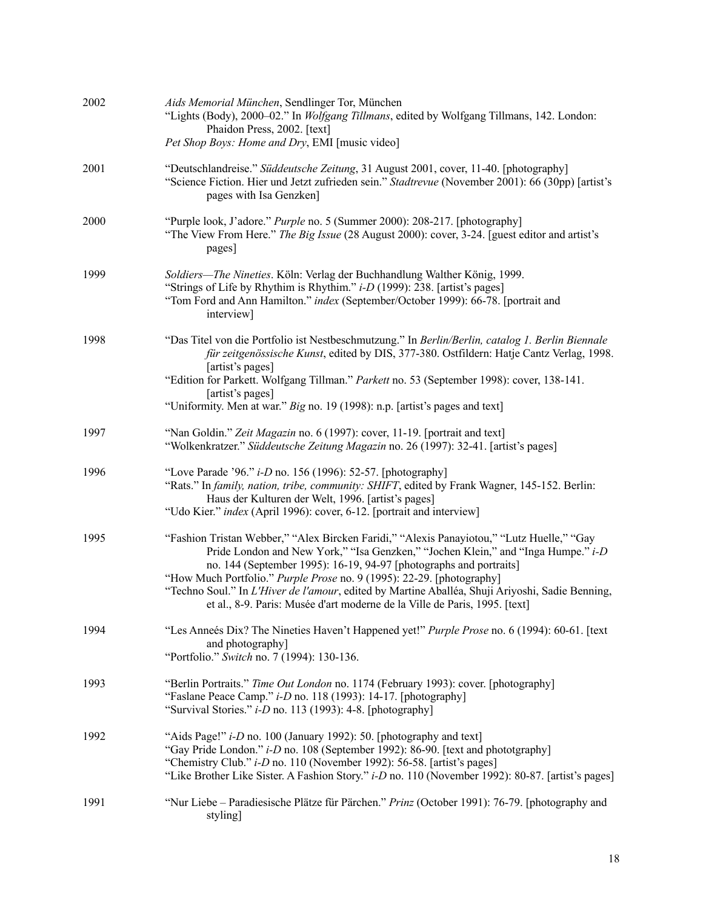| 2002 | Aids Memorial München, Sendlinger Tor, München<br>"Lights (Body), 2000-02." In Wolfgang Tillmans, edited by Wolfgang Tillmans, 142. London:<br>Phaidon Press, 2002. [text]<br>Pet Shop Boys: Home and Dry, EMI [music video]                                                                                                                                                                                                                                                                                  |
|------|---------------------------------------------------------------------------------------------------------------------------------------------------------------------------------------------------------------------------------------------------------------------------------------------------------------------------------------------------------------------------------------------------------------------------------------------------------------------------------------------------------------|
| 2001 | "Deutschlandreise." Süddeutsche Zeitung, 31 August 2001, cover, 11-40. [photography]<br>"Science Fiction. Hier und Jetzt zufrieden sein." Stadtrevue (November 2001): 66 (30pp) [artist's<br>pages with Isa Genzken]                                                                                                                                                                                                                                                                                          |
| 2000 | "Purple look, J'adore." Purple no. 5 (Summer 2000): 208-217. [photography]<br>"The View From Here." The Big Issue (28 August 2000): cover, 3-24. [guest editor and artist's<br>pages]                                                                                                                                                                                                                                                                                                                         |
| 1999 | Soldiers-The Nineties. Köln: Verlag der Buchhandlung Walther König, 1999.<br>"Strings of Life by Rhythim is Rhythim." i-D (1999): 238. [artist's pages]<br>"Tom Ford and Ann Hamilton." index (September/October 1999): 66-78. [portrait and<br>interview]                                                                                                                                                                                                                                                    |
| 1998 | "Das Titel von die Portfolio ist Nestbeschmutzung." In Berlin/Berlin, catalog 1. Berlin Biennale<br>für zeitgenössische Kunst, edited by DIS, 377-380. Ostfildern: Hatje Cantz Verlag, 1998.<br>[artist's pages]<br>"Edition for Parkett. Wolfgang Tillman." Parkett no. 53 (September 1998): cover, 138-141.<br>[artist's pages]<br>"Uniformity. Men at war." Big no. 19 (1998): n.p. [artist's pages and text]                                                                                              |
| 1997 | "Nan Goldin." Zeit Magazin no. 6 (1997): cover, 11-19. [portrait and text]<br>"Wolkenkratzer." Süddeutsche Zeitung Magazin no. 26 (1997): 32-41. [artist's pages]                                                                                                                                                                                                                                                                                                                                             |
| 1996 | "Love Parade '96." <i>i-D</i> no. 156 (1996): 52-57. [photography]<br>"Rats." In family, nation, tribe, community: SHIFT, edited by Frank Wagner, 145-152. Berlin:<br>Haus der Kulturen der Welt, 1996. [artist's pages]<br>"Udo Kier." index (April 1996): cover, 6-12. [portrait and interview]                                                                                                                                                                                                             |
| 1995 | "Fashion Tristan Webber," "Alex Bircken Faridi," "Alexis Panayiotou," "Lutz Huelle," "Gay<br>Pride London and New York," "Isa Genzken," "Jochen Klein," and "Inga Humpe." i-D<br>no. 144 (September 1995): 16-19, 94-97 [photographs and portraits]<br>"How Much Portfolio." Purple Prose no. 9 (1995): 22-29. [photography]<br>"Techno Soul." In L'Hiver de l'amour, edited by Martine Aballéa, Shuji Ariyoshi, Sadie Benning,<br>et al., 8-9. Paris: Musée d'art moderne de la Ville de Paris, 1995. [text] |
| 1994 | "Les Anneés Dix? The Nineties Haven't Happened yet!" Purple Prose no. 6 (1994): 60-61. [text<br>and photography]<br>"Portfolio." Switch no. 7 (1994): 130-136.                                                                                                                                                                                                                                                                                                                                                |
| 1993 | "Berlin Portraits." Time Out London no. 1174 (February 1993): cover. [photography]<br>"Faslane Peace Camp." i-D no. 118 (1993): 14-17. [photography]<br>"Survival Stories." <i>i-D</i> no. 113 (1993): 4-8. [photography]                                                                                                                                                                                                                                                                                     |
| 1992 | "Aids Page!" i-D no. 100 (January 1992): 50. [photography and text]<br>"Gay Pride London." i-D no. 108 (September 1992): 86-90. [text and phototgraphy]<br>"Chemistry Club." <i>i-D</i> no. 110 (November 1992): 56-58. [artist's pages]<br>"Like Brother Like Sister. A Fashion Story." i-D no. 110 (November 1992): 80-87. [artist's pages]                                                                                                                                                                 |
| 1991 | "Nur Liebe – Paradiesische Plätze für Pärchen." Prinz (October 1991): 76-79. [photography and<br>styling]                                                                                                                                                                                                                                                                                                                                                                                                     |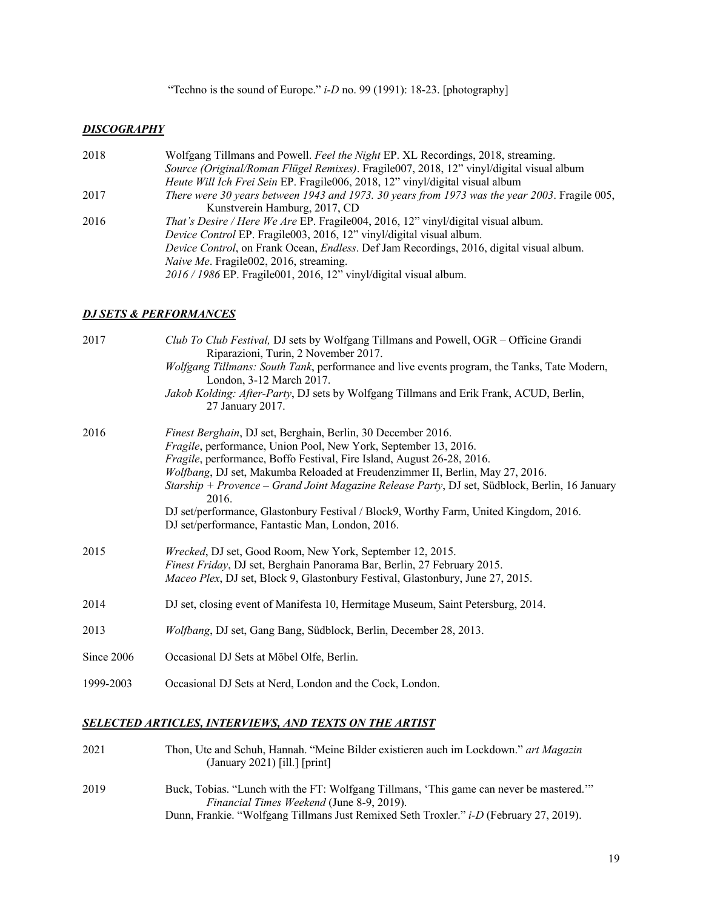"Techno is the sound of Europe." *i-D* no. 99 (1991): 18-23. [photography]

#### *DISCOGRAPHY*

| 2018 | Wolfgang Tillmans and Powell. Feel the Night EP. XL Recordings, 2018, streaming.                         |
|------|----------------------------------------------------------------------------------------------------------|
|      | Source (Original/Roman Flügel Remixes). Fragile007, 2018, 12" vinyl/digital visual album                 |
|      | Heute Will Ich Frei Sein EP. Fragile006, 2018, 12" vinyl/digital visual album                            |
| 2017 | There were 30 years between 1943 and 1973. 30 years from 1973 was the year 2003. Fragile 005,            |
|      | Kunstverein Hamburg, 2017, CD                                                                            |
| 2016 | That's Desire / Here We Are EP. Fragile004, 2016, 12" vinyl/digital visual album.                        |
|      | Device Control EP. Fragile003, 2016, 12" vinyl/digital visual album.                                     |
|      | <i>Device Control</i> , on Frank Ocean, <i>Endless</i> . Def Jam Recordings, 2016, digital visual album. |
|      | Naive Me. Fragile002, 2016, streaming.                                                                   |
|      | $2016 / 1986$ EP. Fragile 001, 2016, 12" vinyl/digital visual album.                                     |

#### *DJ SETS & PERFORMANCES*

| 2017       | Club To Club Festival, DJ sets by Wolfgang Tillmans and Powell, OGR – Officine Grandi<br>Riparazioni, Turin, 2 November 2017.<br>Wolfgang Tillmans: South Tank, performance and live events program, the Tanks, Tate Modern,<br>London, 3-12 March 2017.<br>Jakob Kolding: After-Party, DJ sets by Wolfgang Tillmans and Erik Frank, ACUD, Berlin, |
|------------|----------------------------------------------------------------------------------------------------------------------------------------------------------------------------------------------------------------------------------------------------------------------------------------------------------------------------------------------------|
| 2016       | 27 January 2017.<br>Finest Berghain, DJ set, Berghain, Berlin, 30 December 2016.                                                                                                                                                                                                                                                                   |
|            | Fragile, performance, Union Pool, New York, September 13, 2016.<br>Fragile, performance, Boffo Festival, Fire Island, August 26-28, 2016.                                                                                                                                                                                                          |
|            | Wolfbang, DJ set, Makumba Reloaded at Freudenzimmer II, Berlin, May 27, 2016.                                                                                                                                                                                                                                                                      |
|            | Starship + Provence - Grand Joint Magazine Release Party, DJ set, Südblock, Berlin, 16 January<br>2016.                                                                                                                                                                                                                                            |
|            | DJ set/performance, Glastonbury Festival / Block9, Worthy Farm, United Kingdom, 2016.<br>DJ set/performance, Fantastic Man, London, 2016.                                                                                                                                                                                                          |
| 2015       | Wrecked, DJ set, Good Room, New York, September 12, 2015.<br>Finest Friday, DJ set, Berghain Panorama Bar, Berlin, 27 February 2015.<br>Maceo Plex, DJ set, Block 9, Glastonbury Festival, Glastonbury, June 27, 2015.                                                                                                                             |
| 2014       | DJ set, closing event of Manifesta 10, Hermitage Museum, Saint Petersburg, 2014.                                                                                                                                                                                                                                                                   |
| 2013       | Wolfbang, DJ set, Gang Bang, Südblock, Berlin, December 28, 2013.                                                                                                                                                                                                                                                                                  |
| Since 2006 | Occasional DJ Sets at Möbel Olfe, Berlin.                                                                                                                                                                                                                                                                                                          |
| 1999-2003  | Occasional DJ Sets at Nerd, London and the Cock, London.                                                                                                                                                                                                                                                                                           |
|            |                                                                                                                                                                                                                                                                                                                                                    |

# *SELECTED ARTICLES, INTERVIEWS, AND TEXTS ON THE ARTIST*

2021 Thon, Ute and Schuh, Hannah. "Meine Bilder existieren auch im Lockdown." *art Magazin* (January 2021) [ill.] [print] 2019 Buck, Tobias. "Lunch with the FT: Wolfgang Tillmans, 'This game can never be mastered.'" *Financial Times Weekend* (June 8-9, 2019).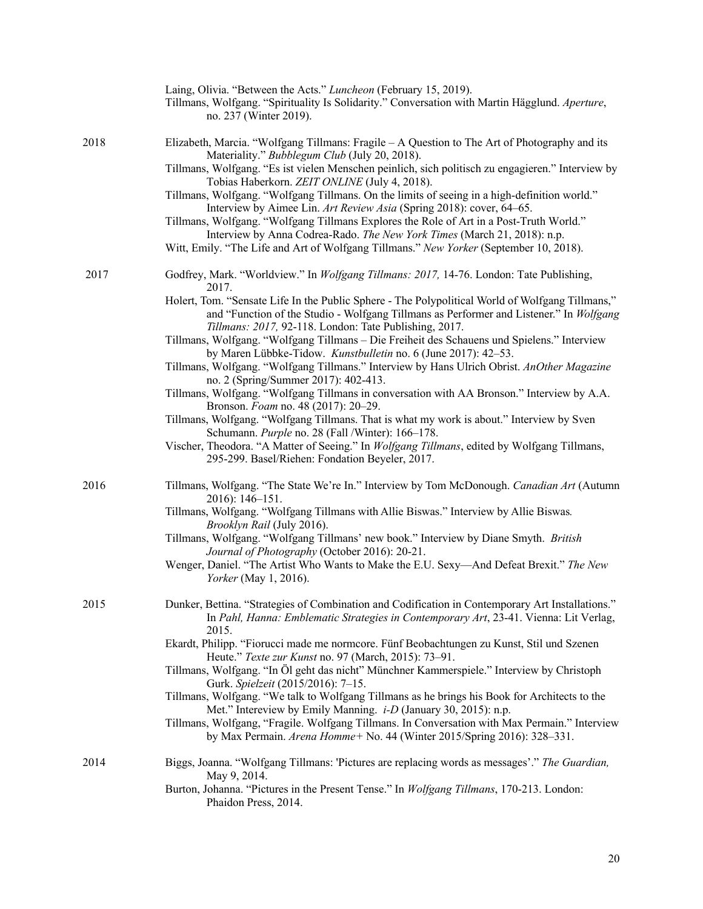|      | Laing, Olivia. "Between the Acts." Luncheon (February 15, 2019).<br>Tillmans, Wolfgang. "Spirituality Is Solidarity." Conversation with Martin Hägglund. Aperture,<br>no. 237 (Winter 2019).                                                                                                                                                                                                                                                                                                                                                                            |
|------|-------------------------------------------------------------------------------------------------------------------------------------------------------------------------------------------------------------------------------------------------------------------------------------------------------------------------------------------------------------------------------------------------------------------------------------------------------------------------------------------------------------------------------------------------------------------------|
| 2018 | Elizabeth, Marcia. "Wolfgang Tillmans: Fragile - A Question to The Art of Photography and its<br>Materiality." Bubblegum Club (July 20, 2018).<br>Tillmans, Wolfgang. "Es ist vielen Menschen peinlich, sich politisch zu engagieren." Interview by<br>Tobias Haberkorn. ZEIT ONLINE (July 4, 2018).<br>Tillmans, Wolfgang. "Wolfgang Tillmans. On the limits of seeing in a high-definition world."<br>Interview by Aimee Lin. Art Review Asia (Spring 2018): cover, 64–65.<br>Tillmans, Wolfgang. "Wolfgang Tillmans Explores the Role of Art in a Post-Truth World." |
|      | Interview by Anna Codrea-Rado. The New York Times (March 21, 2018): n.p.<br>Witt, Emily. "The Life and Art of Wolfgang Tillmans." New Yorker (September 10, 2018).                                                                                                                                                                                                                                                                                                                                                                                                      |
| 2017 | Godfrey, Mark. "Worldview." In Wolfgang Tillmans: 2017, 14-76. London: Tate Publishing,<br>2017.<br>Holert, Tom. "Sensate Life In the Public Sphere - The Polypolitical World of Wolfgang Tillmans,"<br>and "Function of the Studio - Wolfgang Tillmans as Performer and Listener." In Wolfgang                                                                                                                                                                                                                                                                         |
|      | Tillmans: 2017, 92-118. London: Tate Publishing, 2017.<br>Tillmans, Wolfgang. "Wolfgang Tillmans - Die Freiheit des Schauens und Spielens." Interview<br>by Maren Lübbke-Tidow. Kunstbulletin no. 6 (June 2017): 42-53.<br>Tillmans, Wolfgang. "Wolfgang Tillmans." Interview by Hans Ulrich Obrist. AnOther Magazine<br>no. 2 (Spring/Summer 2017): 402-413.                                                                                                                                                                                                           |
|      | Tillmans, Wolfgang. "Wolfgang Tillmans in conversation with AA Bronson." Interview by A.A.<br>Bronson. Foam no. 48 (2017): 20-29.<br>Tillmans, Wolfgang. "Wolfgang Tillmans. That is what my work is about." Interview by Sven<br>Schumann. Purple no. 28 (Fall /Winter): 166-178.                                                                                                                                                                                                                                                                                      |
|      | Vischer, Theodora. "A Matter of Seeing." In Wolfgang Tillmans, edited by Wolfgang Tillmans,<br>295-299. Basel/Riehen: Fondation Beyeler, 2017.                                                                                                                                                                                                                                                                                                                                                                                                                          |
| 2016 | Tillmans, Wolfgang. "The State We're In." Interview by Tom McDonough. Canadian Art (Autumn<br>$2016$ : 146-151.<br>Tillmans, Wolfgang. "Wolfgang Tillmans with Allie Biswas." Interview by Allie Biswas.                                                                                                                                                                                                                                                                                                                                                                |
|      | Brooklyn Rail (July 2016).<br>Tillmans, Wolfgang. "Wolfgang Tillmans' new book." Interview by Diane Smyth. British<br>Journal of Photography (October 2016): 20-21.                                                                                                                                                                                                                                                                                                                                                                                                     |
|      | Wenger, Daniel. "The Artist Who Wants to Make the E.U. Sexy-And Defeat Brexit." The New<br>Yorker (May 1, 2016).                                                                                                                                                                                                                                                                                                                                                                                                                                                        |
| 2015 | Dunker, Bettina. "Strategies of Combination and Codification in Contemporary Art Installations."<br>In Pahl, Hanna: Emblematic Strategies in Contemporary Art, 23-41. Vienna: Lit Verlag,<br>2015.                                                                                                                                                                                                                                                                                                                                                                      |
|      | Ekardt, Philipp. "Fiorucci made me normcore. Fünf Beobachtungen zu Kunst, Stil und Szenen<br>Heute." Texte zur Kunst no. 97 (March, 2015): 73-91.                                                                                                                                                                                                                                                                                                                                                                                                                       |
|      | Tillmans, Wolfgang. "In Öl geht das nicht" Münchner Kammerspiele." Interview by Christoph<br>Gurk. Spielzeit (2015/2016): 7-15.                                                                                                                                                                                                                                                                                                                                                                                                                                         |
|      | Tillmans, Wolfgang. "We talk to Wolfgang Tillmans as he brings his Book for Architects to the<br>Met." Intereview by Emily Manning. <i>i-D</i> (January 30, 2015): n.p.<br>Tillmans, Wolfgang, "Fragile. Wolfgang Tillmans. In Conversation with Max Permain." Interview<br>by Max Permain. Arena Homme+ No. 44 (Winter 2015/Spring 2016): 328-331.                                                                                                                                                                                                                     |
| 2014 | Biggs, Joanna. "Wolfgang Tillmans: 'Pictures are replacing words as messages'." The Guardian,<br>May 9, 2014.<br>Burton, Johanna. "Pictures in the Present Tense." In <i>Wolfgang Tillmans</i> , 170-213. London:                                                                                                                                                                                                                                                                                                                                                       |
|      | Phaidon Press, 2014.                                                                                                                                                                                                                                                                                                                                                                                                                                                                                                                                                    |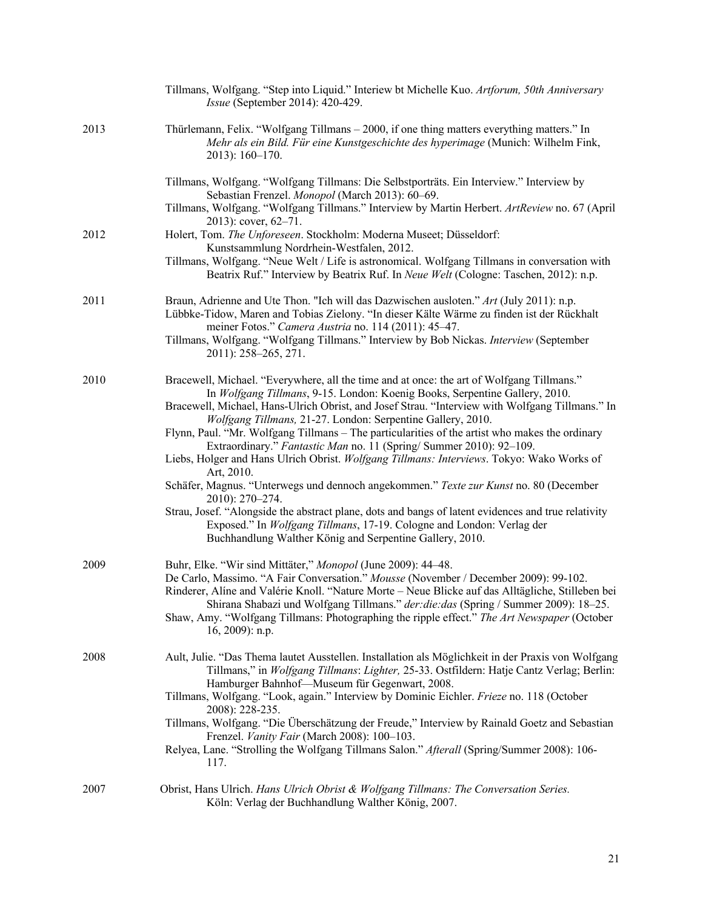|      | Tillmans, Wolfgang. "Step into Liquid." Interiew bt Michelle Kuo. Artforum, 50th Anniversary<br>Issue (September 2014): 420-429.                                                                                                                                                  |
|------|-----------------------------------------------------------------------------------------------------------------------------------------------------------------------------------------------------------------------------------------------------------------------------------|
| 2013 | Thürlemann, Felix. "Wolfgang Tillmans – 2000, if one thing matters everything matters." In<br>Mehr als ein Bild. Für eine Kunstgeschichte des hyperimage (Munich: Wilhelm Fink,<br>$2013$ : 160-170.                                                                              |
|      | Tillmans, Wolfgang. "Wolfgang Tillmans: Die Selbstporträts. Ein Interview." Interview by<br>Sebastian Frenzel. Monopol (March 2013): 60-69.                                                                                                                                       |
|      | Tillmans, Wolfgang. "Wolfgang Tillmans." Interview by Martin Herbert. ArtReview no. 67 (April<br>2013): cover, $62-71$ .                                                                                                                                                          |
| 2012 | Holert, Tom. The Unforeseen. Stockholm: Moderna Museet; Düsseldorf:<br>Kunstsammlung Nordrhein-Westfalen, 2012.                                                                                                                                                                   |
|      | Tillmans, Wolfgang. "Neue Welt / Life is astronomical. Wolfgang Tillmans in conversation with<br>Beatrix Ruf." Interview by Beatrix Ruf. In Neue Welt (Cologne: Taschen, 2012): n.p.                                                                                              |
| 2011 | Braun, Adrienne and Ute Thon. "Ich will das Dazwischen ausloten." Art (July 2011): n.p.<br>Lübbke-Tidow, Maren and Tobias Zielony. "In dieser Kälte Wärme zu finden ist der Rückhalt<br>meiner Fotos." Camera Austria no. 114 (2011): 45-47.                                      |
|      | Tillmans, Wolfgang. "Wolfgang Tillmans." Interview by Bob Nickas. Interview (September<br>2011): 258-265, 271.                                                                                                                                                                    |
| 2010 | Bracewell, Michael. "Everywhere, all the time and at once: the art of Wolfgang Tillmans."<br>In Wolfgang Tillmans, 9-15. London: Koenig Books, Serpentine Gallery, 2010.                                                                                                          |
|      | Bracewell, Michael, Hans-Ulrich Obrist, and Josef Strau. "Interview with Wolfgang Tillmans." In<br>Wolfgang Tillmans, 21-27. London: Serpentine Gallery, 2010.                                                                                                                    |
|      | Flynn, Paul. "Mr. Wolfgang Tillmans – The particularities of the artist who makes the ordinary<br>Extraordinary." Fantastic Man no. 11 (Spring/Summer 2010): 92-109.                                                                                                              |
|      | Liebs, Holger and Hans Ulrich Obrist. Wolfgang Tillmans: Interviews. Tokyo: Wako Works of<br>Art, 2010.                                                                                                                                                                           |
|      | Schäfer, Magnus. "Unterwegs und dennoch angekommen." Texte zur Kunst no. 80 (December<br>2010): 270-274.                                                                                                                                                                          |
|      | Strau, Josef. "Alongside the abstract plane, dots and bangs of latent evidences and true relativity<br>Exposed." In Wolfgang Tillmans, 17-19. Cologne and London: Verlag der<br>Buchhandlung Walther König and Serpentine Gallery, 2010.                                          |
| 2009 | Buhr, Elke. "Wir sind Mittäter," Monopol (June 2009): 44-48.                                                                                                                                                                                                                      |
|      | De Carlo, Massimo. "A Fair Conversation." Mousse (November / December 2009): 99-102.<br>Rinderer, Alíne and Valérie Knoll. "Nature Morte - Neue Blicke auf das Alltägliche, Stilleben bei<br>Shirana Shabazi und Wolfgang Tillmans." der: die: das (Spring / Summer 2009): 18-25. |
|      | Shaw, Amy. "Wolfgang Tillmans: Photographing the ripple effect." The Art Newspaper (October<br>16, 2009): n.p.                                                                                                                                                                    |
| 2008 | Ault, Julie. "Das Thema lautet Ausstellen. Installation als Möglichkeit in der Praxis von Wolfgang<br>Tillmans," in Wolfgang Tillmans: Lighter, 25-33. Ostfildern: Hatje Cantz Verlag; Berlin:                                                                                    |
|      | Hamburger Bahnhof-Museum für Gegenwart, 2008.<br>Tillmans, Wolfgang. "Look, again." Interview by Dominic Eichler. Frieze no. 118 (October                                                                                                                                         |
|      | 2008): 228-235.<br>Tillmans, Wolfgang. "Die Überschätzung der Freude," Interview by Rainald Goetz and Sebastian<br>Frenzel. Vanity Fair (March 2008): 100-103.                                                                                                                    |
|      | Relyea, Lane. "Strolling the Wolfgang Tillmans Salon." Afterall (Spring/Summer 2008): 106-<br>117.                                                                                                                                                                                |
| 2007 | Obrist, Hans Ulrich. Hans Ulrich Obrist & Wolfgang Tillmans: The Conversation Series.<br>Köln: Verlag der Buchhandlung Walther König, 2007.                                                                                                                                       |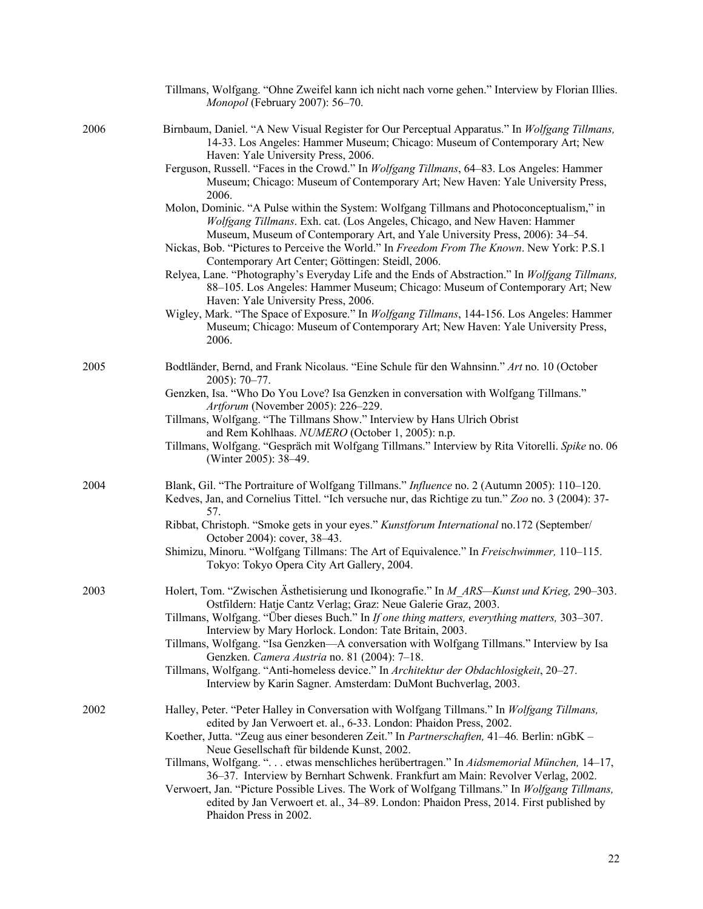|      | Tillmans, Wolfgang. "Ohne Zweifel kann ich nicht nach vorne gehen." Interview by Florian Illies.<br>Monopol (February 2007): 56-70.                                                                                                                    |
|------|--------------------------------------------------------------------------------------------------------------------------------------------------------------------------------------------------------------------------------------------------------|
| 2006 | Birnbaum, Daniel. "A New Visual Register for Our Perceptual Apparatus." In Wolfgang Tillmans,<br>14-33. Los Angeles: Hammer Museum; Chicago: Museum of Contemporary Art; New<br>Haven: Yale University Press, 2006.                                    |
|      | Ferguson, Russell. "Faces in the Crowd." In Wolfgang Tillmans, 64-83. Los Angeles: Hammer<br>Museum; Chicago: Museum of Contemporary Art; New Haven: Yale University Press,<br>2006.                                                                   |
|      | Molon, Dominic. "A Pulse within the System: Wolfgang Tillmans and Photoconceptualism," in<br>Wolfgang Tillmans. Exh. cat. (Los Angeles, Chicago, and New Haven: Hammer<br>Museum, Museum of Contemporary Art, and Yale University Press, 2006): 34–54. |
|      | Nickas, Bob. "Pictures to Perceive the World." In Freedom From The Known. New York: P.S.1<br>Contemporary Art Center; Göttingen: Steidl, 2006.                                                                                                         |
|      | Relyea, Lane. "Photography's Everyday Life and the Ends of Abstraction." In Wolfgang Tillmans,<br>88-105. Los Angeles: Hammer Museum; Chicago: Museum of Contemporary Art; New<br>Haven: Yale University Press, 2006.                                  |
|      | Wigley, Mark. "The Space of Exposure." In Wolfgang Tillmans, 144-156. Los Angeles: Hammer<br>Museum; Chicago: Museum of Contemporary Art; New Haven: Yale University Press,<br>2006.                                                                   |
| 2005 | Bodtländer, Bernd, and Frank Nicolaus. "Eine Schule für den Wahnsinn." Art no. 10 (October<br>$2005$ : 70-77.                                                                                                                                          |
|      | Genzken, Isa. "Who Do You Love? Isa Genzken in conversation with Wolfgang Tillmans."<br>Artforum (November 2005): 226-229.                                                                                                                             |
|      | Tillmans, Wolfgang. "The Tillmans Show." Interview by Hans Ulrich Obrist                                                                                                                                                                               |
|      | and Rem Kohlhaas. NUMERO (October 1, 2005): n.p.<br>Tillmans, Wolfgang. "Gespräch mit Wolfgang Tillmans." Interview by Rita Vitorelli. Spike no. 06<br>(Winter 2005): 38–49.                                                                           |
| 2004 | Blank, Gil. "The Portraiture of Wolfgang Tillmans." <i>Influence</i> no. 2 (Autumn 2005): 110–120.<br>Kedves, Jan, and Cornelius Tittel. "Ich versuche nur, das Richtige zu tun." Zoo no. 3 (2004): 37-<br>57.                                         |
|      | Ribbat, Christoph. "Smoke gets in your eyes." Kunstforum International no.172 (September/<br>October 2004): cover, 38-43.                                                                                                                              |
|      | Shimizu, Minoru. "Wolfgang Tillmans: The Art of Equivalence." In Freischwimmer, 110–115.<br>Tokyo: Tokyo Opera City Art Gallery, 2004.                                                                                                                 |
| 2003 | Holert, Tom. "Zwischen Ästhetisierung und Ikonografie." In M_ARS—Kunst und Krieg, 290–303.                                                                                                                                                             |
|      | Ostfildern: Hatje Cantz Verlag; Graz: Neue Galerie Graz, 2003.<br>Tillmans, Wolfgang. "Über dieses Buch." In If one thing matters, everything matters, 303-307.                                                                                        |
|      | Interview by Mary Horlock. London: Tate Britain, 2003.<br>Tillmans, Wolfgang. "Isa Genzken—A conversation with Wolfgang Tillmans." Interview by Isa                                                                                                    |
|      | Genzken. Camera Austria no. 81 (2004): 7-18.<br>Tillmans, Wolfgang. "Anti-homeless device." In Architektur der Obdachlosigkeit, 20–27.<br>Interview by Karin Sagner. Amsterdam: DuMont Buchverlag, 2003.                                               |
| 2002 | Halley, Peter. "Peter Halley in Conversation with Wolfgang Tillmans." In Wolfgang Tillmans,<br>edited by Jan Verwoert et. al., 6-33. London: Phaidon Press, 2002.                                                                                      |
|      | Koether, Jutta. "Zeug aus einer besonderen Zeit." In Partnerschaften, 41–46. Berlin: nGbK -                                                                                                                                                            |
|      | Neue Gesellschaft für bildende Kunst, 2002.<br>Tillmans, Wolfgang. " etwas menschliches herübertragen." In Aidsmemorial München, 14–17,<br>36-37. Interview by Bernhart Schwenk. Frankfurt am Main: Revolver Verlag, 2002.                             |
|      | Verwoert, Jan. "Picture Possible Lives. The Work of Wolfgang Tillmans." In Wolfgang Tillmans,<br>edited by Jan Verwoert et. al., 34-89. London: Phaidon Press, 2014. First published by<br>Phaidon Press in 2002.                                      |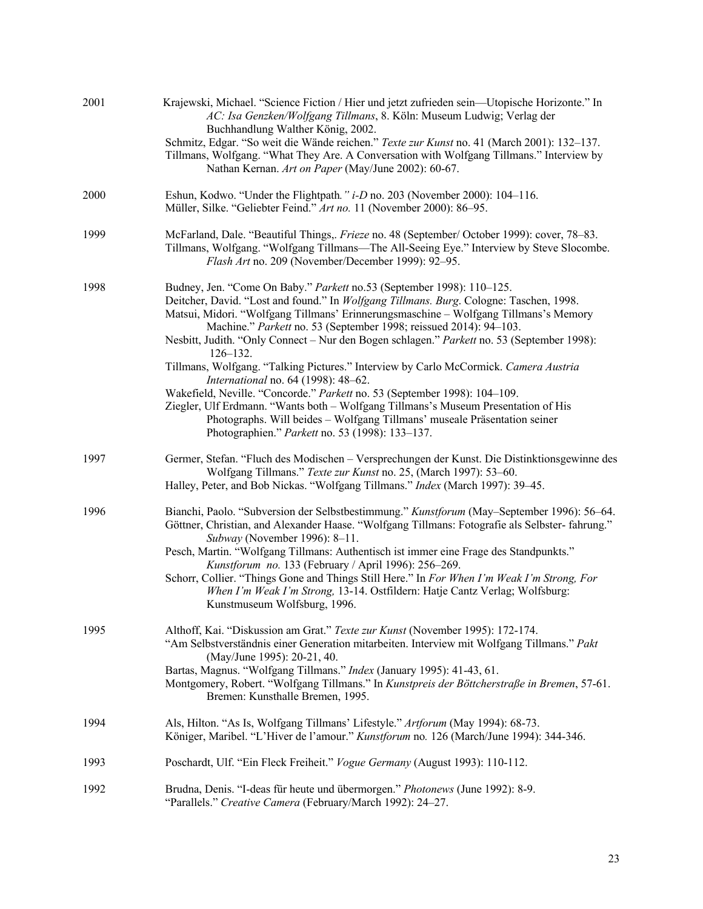| 2001 | Krajewski, Michael. "Science Fiction / Hier und jetzt zufrieden sein—Utopische Horizonte." In<br>AC: Isa Genzken/Wolfgang Tillmans, 8. Köln: Museum Ludwig; Verlag der<br>Buchhandlung Walther König, 2002.<br>Schmitz, Edgar. "So weit die Wände reichen." Texte zur Kunst no. 41 (March 2001): 132-137.<br>Tillmans, Wolfgang. "What They Are. A Conversation with Wolfgang Tillmans." Interview by<br>Nathan Kernan. Art on Paper (May/June 2002): 60-67.                                                                                                                                                                                                                                                                                                                                                                                                                 |
|------|------------------------------------------------------------------------------------------------------------------------------------------------------------------------------------------------------------------------------------------------------------------------------------------------------------------------------------------------------------------------------------------------------------------------------------------------------------------------------------------------------------------------------------------------------------------------------------------------------------------------------------------------------------------------------------------------------------------------------------------------------------------------------------------------------------------------------------------------------------------------------|
| 2000 | Eshun, Kodwo. "Under the Flightpath." i-D no. 203 (November 2000): 104-116.<br>Müller, Silke. "Geliebter Feind." Art no. 11 (November 2000): 86-95.                                                                                                                                                                                                                                                                                                                                                                                                                                                                                                                                                                                                                                                                                                                          |
| 1999 | McFarland, Dale. "Beautiful Things,. Frieze no. 48 (September/ October 1999): cover, 78-83.<br>Tillmans, Wolfgang. "Wolfgang Tillmans—The All-Seeing Eye." Interview by Steve Slocombe.<br>Flash Art no. 209 (November/December 1999): 92-95.                                                                                                                                                                                                                                                                                                                                                                                                                                                                                                                                                                                                                                |
| 1998 | Budney, Jen. "Come On Baby." Parkett no.53 (September 1998): 110-125.<br>Deitcher, David. "Lost and found." In Wolfgang Tillmans. Burg. Cologne: Taschen, 1998.<br>Matsui, Midori. "Wolfgang Tillmans' Erinnerungsmaschine - Wolfgang Tillmans's Memory<br>Machine." Parkett no. 53 (September 1998; reissued 2014): 94-103.<br>Nesbitt, Judith. "Only Connect – Nur den Bogen schlagen." Parkett no. 53 (September 1998):<br>$126 - 132.$<br>Tillmans, Wolfgang. "Talking Pictures." Interview by Carlo McCormick. Camera Austria<br>International no. 64 (1998): 48-62.<br>Wakefield, Neville. "Concorde." Parkett no. 53 (September 1998): 104-109.<br>Ziegler, Ulf Erdmann. "Wants both - Wolfgang Tillmans's Museum Presentation of His<br>Photographs. Will beides - Wolfgang Tillmans' museale Präsentation seiner<br>Photographien." Parkett no. 53 (1998): 133-137. |
| 1997 | Germer, Stefan. "Fluch des Modischen - Versprechungen der Kunst. Die Distinktionsgewinne des<br>Wolfgang Tillmans." Texte zur Kunst no. 25, (March 1997): 53-60.<br>Halley, Peter, and Bob Nickas. "Wolfgang Tillmans." Index (March 1997): 39-45.                                                                                                                                                                                                                                                                                                                                                                                                                                                                                                                                                                                                                           |
| 1996 | Bianchi, Paolo. "Subversion der Selbstbestimmung." Kunstforum (May-September 1996): 56-64.<br>Göttner, Christian, and Alexander Haase. "Wolfgang Tillmans: Fotografie als Selbster-fahrung."<br>Subway (November 1996): 8-11.<br>Pesch, Martin. "Wolfgang Tillmans: Authentisch ist immer eine Frage des Standpunkts."<br>Kunstforum no. 133 (February / April 1996): 256-269.<br>Schorr, Collier. "Things Gone and Things Still Here." In For When I'm Weak I'm Strong, For<br>When I'm Weak I'm Strong, 13-14. Ostfildern: Hatje Cantz Verlag; Wolfsburg:<br>Kunstmuseum Wolfsburg, 1996.                                                                                                                                                                                                                                                                                  |
| 1995 | Althoff, Kai. "Diskussion am Grat." Texte zur Kunst (November 1995): 172-174.<br>"Am Selbstverständnis einer Generation mitarbeiten. Interview mit Wolfgang Tillmans." Pakt<br>(May/June 1995): 20-21, 40.<br>Bartas, Magnus. "Wolfgang Tillmans." Index (January 1995): 41-43, 61.<br>Montgomery, Robert. "Wolfgang Tillmans." In Kunstpreis der Böttcherstraße in Bremen, 57-61.<br>Bremen: Kunsthalle Bremen, 1995.                                                                                                                                                                                                                                                                                                                                                                                                                                                       |
| 1994 | Als, Hilton. "As Is, Wolfgang Tillmans' Lifestyle." Artforum (May 1994): 68-73.<br>Königer, Maribel. "L'Hiver de l'amour." Kunstforum no. 126 (March/June 1994): 344-346.                                                                                                                                                                                                                                                                                                                                                                                                                                                                                                                                                                                                                                                                                                    |
| 1993 | Poschardt, Ulf. "Ein Fleck Freiheit." Vogue Germany (August 1993): 110-112.                                                                                                                                                                                                                                                                                                                                                                                                                                                                                                                                                                                                                                                                                                                                                                                                  |
| 1992 | Brudna, Denis. "I-deas für heute und übermorgen." Photonews (June 1992): 8-9.<br>"Parallels." Creative Camera (February/March 1992): 24-27.                                                                                                                                                                                                                                                                                                                                                                                                                                                                                                                                                                                                                                                                                                                                  |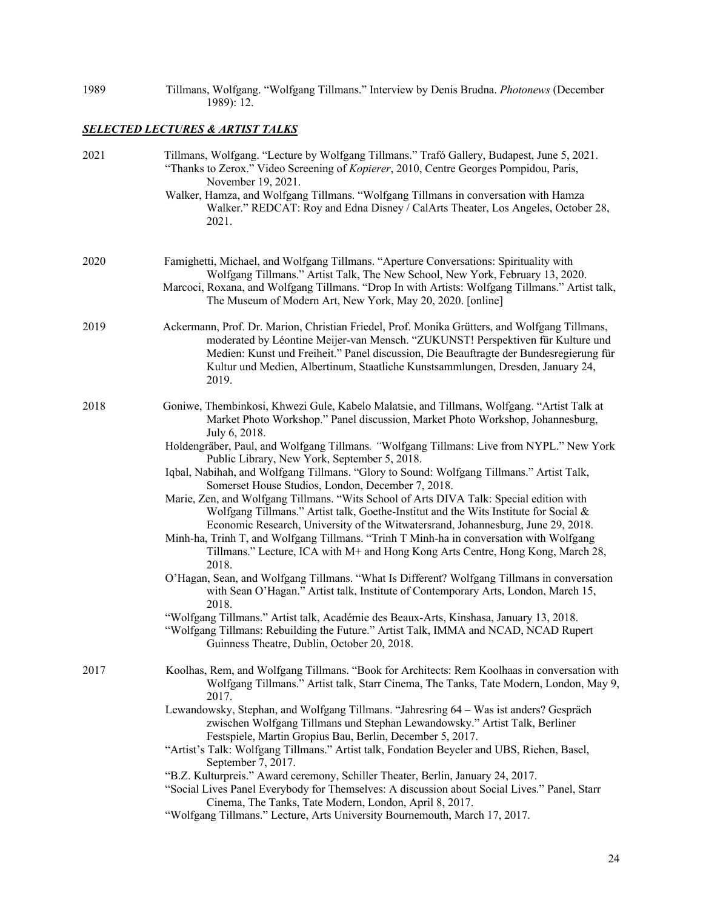| 1989 |            |  | Tillmans, Wolfgang. "Wolfgang Tillmans." Interview by Denis Brudna. Photonews (December |
|------|------------|--|-----------------------------------------------------------------------------------------|
|      | 1989): 12. |  |                                                                                         |

# *SELECTED LECTURES & ARTIST TALKS*

| 2021 | Tillmans, Wolfgang. "Lecture by Wolfgang Tillmans." Trafó Gallery, Budapest, June 5, 2021.<br>"Thanks to Zerox." Video Screening of Kopierer, 2010, Centre Georges Pompidou, Paris,<br>November 19, 2021.<br>Walker, Hamza, and Wolfgang Tillmans. "Wolfgang Tillmans in conversation with Hamza                                                                       |
|------|------------------------------------------------------------------------------------------------------------------------------------------------------------------------------------------------------------------------------------------------------------------------------------------------------------------------------------------------------------------------|
|      | Walker." REDCAT: Roy and Edna Disney / CalArts Theater, Los Angeles, October 28,<br>2021.                                                                                                                                                                                                                                                                              |
| 2020 | Famighetti, Michael, and Wolfgang Tillmans. "Aperture Conversations: Spirituality with<br>Wolfgang Tillmans." Artist Talk, The New School, New York, February 13, 2020.<br>Marcoci, Roxana, and Wolfgang Tillmans. "Drop In with Artists: Wolfgang Tillmans." Artist talk,<br>The Museum of Modern Art, New York, May 20, 2020. [online]                               |
| 2019 | Ackermann, Prof. Dr. Marion, Christian Friedel, Prof. Monika Grütters, and Wolfgang Tillmans,<br>moderated by Léontine Meijer-van Mensch. "ZUKUNST! Perspektiven für Kulture und<br>Medien: Kunst und Freiheit." Panel discussion, Die Beauftragte der Bundesregierung für<br>Kultur und Medien, Albertinum, Staatliche Kunstsammlungen, Dresden, January 24,<br>2019. |
| 2018 | Goniwe, Thembinkosi, Khwezi Gule, Kabelo Malatsie, and Tillmans, Wolfgang. "Artist Talk at<br>Market Photo Workshop." Panel discussion, Market Photo Workshop, Johannesburg,<br>July 6, 2018.                                                                                                                                                                          |
|      | Holdengräber, Paul, and Wolfgang Tillmans. "Wolfgang Tillmans: Live from NYPL." New York<br>Public Library, New York, September 5, 2018.                                                                                                                                                                                                                               |
|      | Iqbal, Nabihah, and Wolfgang Tillmans. "Glory to Sound: Wolfgang Tillmans." Artist Talk,                                                                                                                                                                                                                                                                               |
|      | Somerset House Studios, London, December 7, 2018.<br>Marie, Zen, and Wolfgang Tillmans. "Wits School of Arts DIVA Talk: Special edition with<br>Wolfgang Tillmans." Artist talk, Goethe-Institut and the Wits Institute for Social &<br>Economic Research, University of the Witwatersrand, Johannesburg, June 29, 2018.                                               |
|      | Minh-ha, Trinh T, and Wolfgang Tillmans. "Trinh T Minh-ha in conversation with Wolfgang<br>Tillmans." Lecture, ICA with M+ and Hong Kong Arts Centre, Hong Kong, March 28,<br>2018.                                                                                                                                                                                    |
|      | O'Hagan, Sean, and Wolfgang Tillmans. "What Is Different? Wolfgang Tillmans in conversation<br>with Sean O'Hagan." Artist talk, Institute of Contemporary Arts, London, March 15,<br>2018.                                                                                                                                                                             |
|      | "Wolfgang Tillmans." Artist talk, Académie des Beaux-Arts, Kinshasa, January 13, 2018.<br>"Wolfgang Tillmans: Rebuilding the Future." Artist Talk, IMMA and NCAD, NCAD Rupert<br>Guinness Theatre, Dublin, October 20, 2018.                                                                                                                                           |
| 2017 | Koolhas, Rem, and Wolfgang Tillmans. "Book for Architects: Rem Koolhaas in conversation with<br>Wolfgang Tillmans." Artist talk, Starr Cinema, The Tanks, Tate Modern, London, May 9,<br>2017.                                                                                                                                                                         |
|      | Lewandowsky, Stephan, and Wolfgang Tillmans. "Jahresring 64 - Was ist anders? Gespräch<br>zwischen Wolfgang Tillmans und Stephan Lewandowsky." Artist Talk, Berliner<br>Festspiele, Martin Gropius Bau, Berlin, December 5, 2017.                                                                                                                                      |
|      | "Artist's Talk: Wolfgang Tillmans." Artist talk, Fondation Beyeler and UBS, Riehen, Basel,<br>September 7, 2017.                                                                                                                                                                                                                                                       |
|      | "B.Z. Kulturpreis." Award ceremony, Schiller Theater, Berlin, January 24, 2017.<br>"Social Lives Panel Everybody for Themselves: A discussion about Social Lives." Panel, Starr<br>Cinema, The Tanks, Tate Modern, London, April 8, 2017.<br>"Wolfgang Tillmans." Lecture, Arts University Bournemouth, March 17, 2017.                                                |
|      |                                                                                                                                                                                                                                                                                                                                                                        |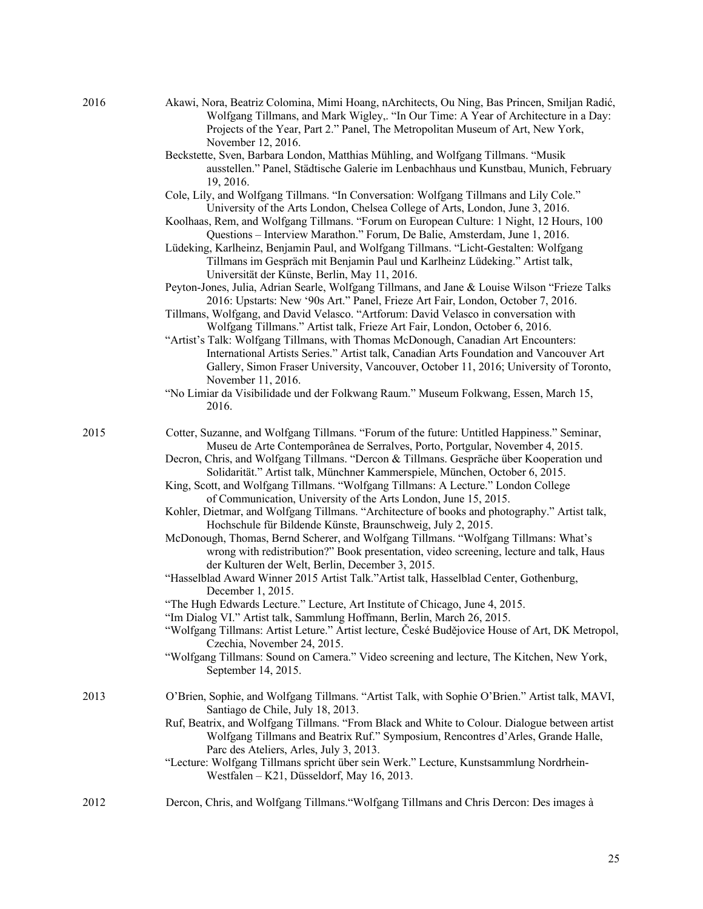- 2016 Akawi, Nora, Beatriz Colomina, Mimi Hoang, nArchitects, Ou Ning, Bas Princen, Smiljan Radić, Wolfgang Tillmans, and Mark Wigley,. "In Our Time: A Year of Architecture in a Day: Projects of the Year, Part 2." Panel, The Metropolitan Museum of Art, New York, November 12, 2016.
	- Beckstette, Sven, Barbara London, Matthias Mühling, and Wolfgang Tillmans. "Musik ausstellen." Panel, Städtische Galerie im Lenbachhaus und Kunstbau, Munich, February 19, 2016.
	- Cole, Lily, and Wolfgang Tillmans. "In Conversation: Wolfgang Tillmans and Lily Cole." University of the Arts London, Chelsea College of Arts, London, June 3, 2016.
	- Koolhaas, Rem, and Wolfgang Tillmans. "Forum on European Culture: 1 Night, 12 Hours, 100 Questions – Interview Marathon." Forum, De Balie, Amsterdam, June 1, 2016.
	- Lüdeking, Karlheinz, Benjamin Paul, and Wolfgang Tillmans. "Licht-Gestalten: Wolfgang Tillmans im Gespräch mit Benjamin Paul und Karlheinz Lüdeking." Artist talk, Universität der Künste, Berlin, May 11, 2016.
	- Peyton-Jones, Julia, Adrian Searle, Wolfgang Tillmans, and Jane & Louise Wilson "Frieze Talks 2016: Upstarts: New '90s Art." Panel, Frieze Art Fair, London, October 7, 2016.
	- Tillmans, Wolfgang, and David Velasco. "Artforum: David Velasco in conversation with Wolfgang Tillmans." Artist talk, Frieze Art Fair, London, October 6, 2016.
	- "Artist's Talk: Wolfgang Tillmans, with Thomas McDonough, Canadian Art Encounters: International Artists Series." Artist talk, Canadian Arts Foundation and Vancouver Art Gallery, Simon Fraser University, Vancouver, October 11, 2016; University of Toronto, November 11, 2016.
	- "No Limiar da Visibilidade und der Folkwang Raum." Museum Folkwang, Essen, March 15, 2016.
- 2015 Cotter, Suzanne, and Wolfgang Tillmans. "Forum of the future: Untitled Happiness." Seminar, Museu de Arte Contemporânea de Serralves, Porto, Portgular, November 4, 2015.
	- Decron, Chris, and Wolfgang Tillmans. "Dercon & Tillmans. Gespräche über Kooperation und Solidarität." Artist talk, Münchner Kammerspiele, München, October 6, 2015.
	- King, Scott, and Wolfgang Tillmans. "Wolfgang Tillmans: A Lecture." London College of Communication, University of the Arts London, June 15, 2015.
	- Kohler, Dietmar, and Wolfgang Tillmans. "Architecture of books and photography." Artist talk, Hochschule für Bildende Künste, Braunschweig, July 2, 2015.
	- McDonough, Thomas, Bernd Scherer, and Wolfgang Tillmans. "Wolfgang Tillmans: What's wrong with redistribution?" Book presentation, video screening, lecture and talk, Haus der Kulturen der Welt, Berlin, December 3, 2015.
	- "Hasselblad Award Winner 2015 Artist Talk."Artist talk, Hasselblad Center, Gothenburg, December 1, 2015.
	- "The Hugh Edwards Lecture." Lecture, Art Institute of Chicago, June 4, 2015.
	- "Im Dialog VI." Artist talk, Sammlung Hoffmann, Berlin, March 26, 2015.
	- "Wolfgang Tillmans: Artist Leture." Artist lecture, České Budějovice House of Art, DK Metropol, Czechia, November 24, 2015.
	- "Wolfgang Tillmans: Sound on Camera." Video screening and lecture, The Kitchen, New York, September 14, 2015.
- 2013 O'Brien, Sophie, and Wolfgang Tillmans. "Artist Talk, with Sophie O'Brien." Artist talk, MAVI, Santiago de Chile, July 18, 2013.
	- Ruf, Beatrix, and Wolfgang Tillmans. "From Black and White to Colour. Dialogue between artist Wolfgang Tillmans and Beatrix Ruf." Symposium, Rencontres d'Arles, Grande Halle, Parc des Ateliers, Arles, July 3, 2013.
	- "Lecture: Wolfgang Tillmans spricht über sein Werk." Lecture, Kunstsammlung Nordrhein-Westfalen – K21, Düsseldorf, May 16, 2013.
- 2012 Dercon, Chris, and Wolfgang Tillmans."Wolfgang Tillmans and Chris Dercon: Des images à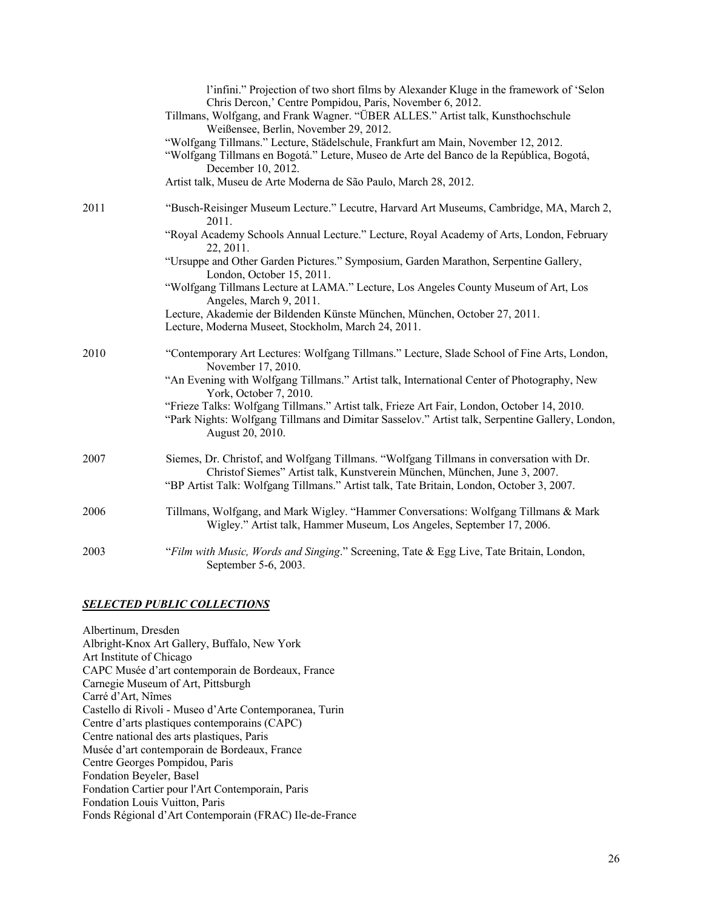|      | l'infini." Projection of two short films by Alexander Kluge in the framework of 'Selon<br>Chris Dercon,' Centre Pompidou, Paris, November 6, 2012.<br>Tillmans, Wolfgang, and Frank Wagner. "ÜBER ALLES." Artist talk, Kunsthochschule<br>Weißensee, Berlin, November 29, 2012.<br>"Wolfgang Tillmans." Lecture, Städelschule, Frankfurt am Main, November 12, 2012.<br>"Wolfgang Tillmans en Bogotá." Leture, Museo de Arte del Banco de la República, Bogotá,<br>December 10, 2012. |
|------|---------------------------------------------------------------------------------------------------------------------------------------------------------------------------------------------------------------------------------------------------------------------------------------------------------------------------------------------------------------------------------------------------------------------------------------------------------------------------------------|
|      | Artist talk, Museu de Arte Moderna de São Paulo, March 28, 2012.                                                                                                                                                                                                                                                                                                                                                                                                                      |
| 2011 | "Busch-Reisinger Museum Lecture." Lecutre, Harvard Art Museums, Cambridge, MA, March 2,<br>2011.                                                                                                                                                                                                                                                                                                                                                                                      |
|      | "Royal Academy Schools Annual Lecture." Lecture, Royal Academy of Arts, London, February<br>22, 2011.                                                                                                                                                                                                                                                                                                                                                                                 |
|      | "Ursuppe and Other Garden Pictures." Symposium, Garden Marathon, Serpentine Gallery,<br>London, October 15, 2011.                                                                                                                                                                                                                                                                                                                                                                     |
|      | "Wolfgang Tillmans Lecture at LAMA." Lecture, Los Angeles County Museum of Art, Los<br>Angeles, March 9, 2011.                                                                                                                                                                                                                                                                                                                                                                        |
|      | Lecture, Akademie der Bildenden Künste München, München, October 27, 2011.<br>Lecture, Moderna Museet, Stockholm, March 24, 2011.                                                                                                                                                                                                                                                                                                                                                     |
| 2010 | "Contemporary Art Lectures: Wolfgang Tillmans." Lecture, Slade School of Fine Arts, London,<br>November 17, 2010.                                                                                                                                                                                                                                                                                                                                                                     |
|      | "An Evening with Wolfgang Tillmans." Artist talk, International Center of Photography, New<br>York, October 7, 2010.                                                                                                                                                                                                                                                                                                                                                                  |
|      | "Frieze Talks: Wolfgang Tillmans." Artist talk, Frieze Art Fair, London, October 14, 2010.<br>"Park Nights: Wolfgang Tillmans and Dimitar Sasselov." Artist talk, Serpentine Gallery, London,<br>August 20, 2010.                                                                                                                                                                                                                                                                     |
| 2007 | Siemes, Dr. Christof, and Wolfgang Tillmans. "Wolfgang Tillmans in conversation with Dr.<br>Christof Siemes" Artist talk, Kunstverein München, München, June 3, 2007.                                                                                                                                                                                                                                                                                                                 |
|      | "BP Artist Talk: Wolfgang Tillmans." Artist talk, Tate Britain, London, October 3, 2007.                                                                                                                                                                                                                                                                                                                                                                                              |
| 2006 | Tillmans, Wolfgang, and Mark Wigley. "Hammer Conversations: Wolfgang Tillmans & Mark<br>Wigley." Artist talk, Hammer Museum, Los Angeles, September 17, 2006.                                                                                                                                                                                                                                                                                                                         |
| 2003 | "Film with Music, Words and Singing." Screening, Tate & Egg Live, Tate Britain, London,<br>September 5-6, 2003.                                                                                                                                                                                                                                                                                                                                                                       |

#### *SELECTED PUBLIC COLLECTIONS*

Albertinum, Dresden Albright-Knox Art Gallery, Buffalo, New York Art Institute of Chicago CAPC Musée d'art contemporain de Bordeaux, France Carnegie Museum of Art, Pittsburgh Carré d'Art, Nîmes Castello di Rivoli - Museo d'Arte Contemporanea, Turin Centre d'arts plastiques contemporains (CAPC) Centre national des arts plastiques, Paris Musée d'art contemporain de Bordeaux, France Centre Georges Pompidou, Paris Fondation Beyeler, Basel Fondation Cartier pour l'Art Contemporain, Paris Fondation Louis Vuitton, Paris Fonds Régional d'Art Contemporain (FRAC) Ile-de-France